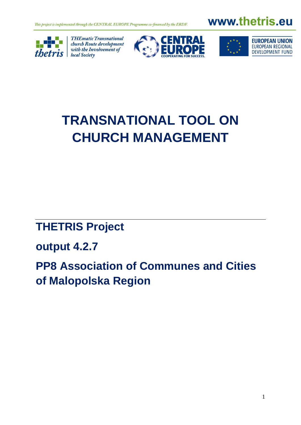



**THEmatic Transnational** church Route development thetris with the Involvement of





# **TRANSNATIONAL TOOL ON CHURCH MANAGEMENT**

## **THETRIS Project**

## **output 4.2.7**

**PP8 Association of Communes and Cities of Malopolska Region**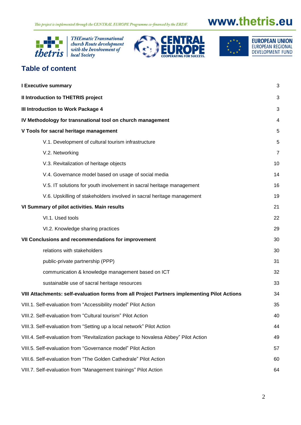

**Example 15 THE matic Transnational**<br>that  $\left| \begin{array}{c} \text{THEmatic Transmissional} \\ \text{church Route development} \\ \text{with the Involvement of} \\ \text{local Society} \end{array} \right|$ 







**EUROPEAN UNION**<br>EUROPEAN REGIONAL **DEVELOPMENT FUND** 

## **Table of content**

| I Executive summary                                                                          | 3  |  |
|----------------------------------------------------------------------------------------------|----|--|
| Il Introduction to THETRIS project                                                           | 3  |  |
| III Introduction to Work Package 4                                                           | 3  |  |
| IV Methodology for transnational tool on church management                                   | 4  |  |
| V Tools for sacral heritage management                                                       | 5  |  |
| V.1. Development of cultural tourism infrastructure                                          | 5  |  |
| V.2. Networking                                                                              | 7  |  |
| V.3. Revitalization of heritage objects                                                      | 10 |  |
| V.4. Governance model based on usage of social media                                         | 14 |  |
| V.5. IT solutions for youth involvement in sacral heritage management                        | 16 |  |
| V.6. Upskilling of stakeholders involved in sacral heritage management                       | 19 |  |
| VI Summary of pilot activities. Main results                                                 | 21 |  |
| VI.1. Used tools                                                                             | 22 |  |
| VI.2. Knowledge sharing practices                                                            | 29 |  |
| VII Conclusions and recommendations for improvement                                          | 30 |  |
| relations with stakeholders                                                                  | 30 |  |
| public-private partnership (PPP)                                                             | 31 |  |
| communication & knowledge management based on ICT                                            | 32 |  |
| sustainable use of sacral heritage resources                                                 | 33 |  |
| VIII Attachments: self-evaluation forms from all Project Partners implementing Pilot Actions | 34 |  |
| VIII.1. Self-evaluation from "Accessibility model" Pilot Action                              | 35 |  |
| VIII.2. Self-evaluation from "Cultural tourism" Pilot Action                                 | 40 |  |
| VIII.3. Self-evaluation from "Setting up a local network" Pilot Action                       | 44 |  |
| VIII.4. Self-evaluation from "Revitalization package to Novalesa Abbey" Pilot Action         | 49 |  |
| VIII.5. Self-evaluation from "Governance model" Pilot Action                                 | 57 |  |
| VIII.6. Self-evaluation from "The Golden Cathedrale" Pilot Action                            |    |  |
| VIII.7. Self-evaluation from "Management trainings" Pilot Action                             |    |  |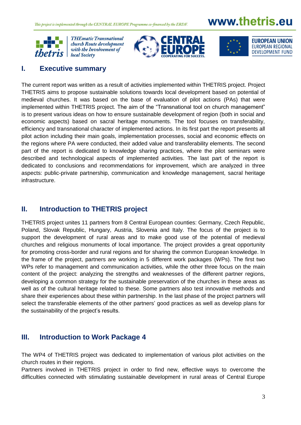

**THEmatic Transnational** church Route development with the Involvement of







### **I. Executive summary**

The current report was written as a result of activities implemented within THETRIS project. Project THETRIS aims to propose sustainable solutions towards local development based on potential of medieval churches. It was based on the base of evaluation of pilot actions (PAs) that were implemented within THETRIS project. The aim of the "Transnational tool on church management" is to present various ideas on how to ensure sustainable development of region (both in social and economic aspects) based on sacral heritage monuments. The tool focuses on transferability, efficiency and transnational character of implemented actions. In its first part the report presents all pilot action including their main goals, implementation processes, social and economic effects on the regions where PA were conducted, their added value and transferability elements. The second part of the report is dedicated to knowledge sharing practices, where the pilot seminars were described and technological aspects of implemented activities. The last part of the report is dedicated to conclusions and recommendations for improvement, which are analyzed in three aspects: public-private partnership, communication and knowledge management, sacral heritage infrastructure.

### **II. Introduction to THETRIS project**

THETRIS project unites 11 partners from 8 Central European counties: Germany, Czech Republic, Poland, Slovak Republic, Hungary, Austria, Slovenia and Italy. The focus of the project is to support the development of rural areas and to make good use of the potential of medieval churches and religious monuments of local importance. The project provides a great opportunity for promoting cross-border and rural regions and for sharing the common European knowledge. In the frame of the project, partners are working in 5 different work packages (WPs). The first two WPs refer to management and communication activities, while the other three focus on the main content of the project: analyzing the strengths and weaknesses of the different partner regions, developing a common strategy for the sustainable preservation of the churches in these areas as well as of the cultural heritage related to these. Some partners also test innovative methods and share their experiences about these within partnership. In the last phase of the project partners will select the transferable elements of the other partners' good practices as well as develop plans for the sustainability of the project's results.

### **III. Introduction to Work Package 4**

The WP4 of THETRIS project was dedicated to implementation of various pilot activities on the church routes in their regions.

Partners involved in THETRIS project in order to find new, effective ways to overcome the difficulties connected with stimulating sustainable development in rural areas of Central Europe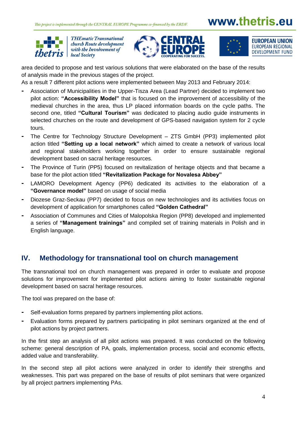

**THEmatic Transnational** church Route development with the Involvement of







area decided to propose and test various solutions that were elaborated on the base of the results of analysis made in the previous stages of the project.

As a result 7 different pilot actions were implemented between May 2013 and February 2014:

- **-** Association of Municipalities in the Upper-Tisza Area (Lead Partner) decided to implement two pilot action: **"Accessibility Model"** that is focused on the improvement of accessibility of the medieval churches in the area, thus LP placed information boards on the cycle paths. The second one, titled **"Cultural Tourism"** was dedicated to placing audio guide instruments in selected churches on the route and development of GPS-based navigation system for 2 cycle tours.
- **-** The Centre for Technology Structure Development ZTS GmbH (PP3) implemented pilot action titled **"Setting up a local network"** which aimed to create a network of various local and regional stakeholders working together in order to ensure sustainable regional development based on sacral heritage resources.
- **-** The Province of Turin (PP5) focused on revitalization of heritage objects and that became a base for the pilot action titled **"Revitalization Package for Novalesa Abbey"**
- **-** LAMORO Development Agency (PP6) dedicated its activities to the elaboration of a **"Governance model"** based on usage of social media
- **-** Diozese Graz-Seckau (PP7) decided to focus on new technologies and its activities focus on development of application for smartphones called **"Golden Cathedral"**
- **-** Association of Communes and Cities of Malopolska Region (PP8) developed and implemented a series of **"Management trainings"** and compiled set of training materials in Polish and in English language.

### **IV. Methodology for transnational tool on church management**

The transnational tool on church management was prepared in order to evaluate and propose solutions for improvement for implemented pilot actions aiming to foster sustainable regional development based on sacral heritage resources.

The tool was prepared on the base of:

- **-** Self-evaluation forms prepared by partners implementing pilot actions.
- **-** Evaluation forms prepared by partners participating in pilot seminars organized at the end of pilot actions by project partners.

In the first step an analysis of all pilot actions was prepared. It was conducted on the following scheme: general description of PA, goals, implementation process, social and economic effects, added value and transferability.

In the second step all pilot actions were analyzed in order to identify their strengths and weaknesses. This part was prepared on the base of results of pilot seminars that were organized by all project partners implementing PAs.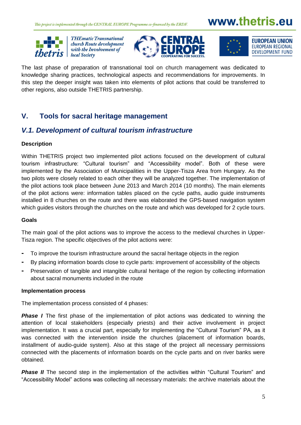

**THEmatic Transnational** church Route development with the Involvement of





The last phase of preparation of transnational tool on church management was dedicated to knowledge sharing practices, technological aspects and recommendations for improvements. In this step the deeper insight was taken into elements of pilot actions that could be transferred to other regions, also outside THETRIS partnership.

### **V. Tools for sacral heritage management**

### *V.1. Development of cultural tourism infrastructure*

#### **Description**

Within THETRIS project two implemented pilot actions focused on the development of cultural tourism infrastructure: "Cultural tourism" and "Accessibility model". Both of these were implemented by the Association of Municipalities in the Upper-Tisza Area from Hungary. As the two pilots were closely related to each other they will be analyzed together. The implementation of the pilot actions took place between June 2013 and March 2014 (10 months). The main elements of the pilot actions were: information tables placed on the cycle paths, audio guide instruments installed in 8 churches on the route and there was elaborated the GPS-based navigation system which guides visitors through the churches on the route and which was developed for 2 cycle tours.

### **Goals**

The main goal of the pilot actions was to improve the access to the medieval churches in Upper-Tisza region. The specific objectives of the pilot actions were:

- **-** To improve the tourism infrastructure around the sacral heritage objects in the region
- **-** By placing information boards close to cycle parts: improvement of accessibility of the objects
- **-** Preservation of tangible and intangible cultural heritage of the region by collecting information about sacral monuments included in the route

#### **Implementation process**

The implementation process consisted of 4 phases:

**Phase I** The first phase of the implementation of pilot actions was dedicated to winning the attention of local stakeholders (especially priests) and their active involvement in project implementation. It was a crucial part, especially for implementing the "Cultural Tourism" PA, as it was connected with the intervention inside the churches (placement of information boards, installment of audio-guide system). Also at this stage of the project all necessary permissions connected with the placements of information boards on the cycle parts and on river banks were obtained.

**Phase II** The second step in the implementation of the activities within "Cultural Tourism" and "Accessibility Model" actions was collecting all necessary materials: the archive materials about the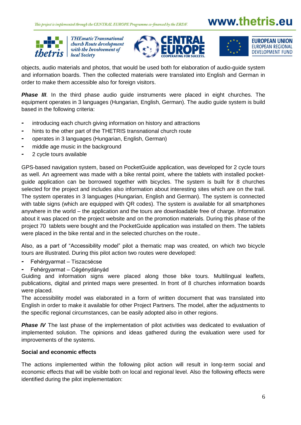

**THEmatic Transnational** church Route development with the Involvement of





objects, audio materials and photos, that would be used both for elaboration of audio-guide system and information boards. Then the collected materials were translated into English and German in order to make them accessible also for foreign visitors.

**Phase III.** In the third phase audio quide instruments were placed in eight churches. The equipment operates in 3 languages (Hungarian, English, German). The audio guide system is build based in the following criteria:

- *-* introducing each church giving information on history and attractions
- *-* hints to the other part of the THETRIS transnational church route
- *-* operates in 3 languages (Hungarian, English, German)
- *-* middle age music in the background
- *-* 2 cycle tours available

GPS-based navigation system, based on PocketGuide application, was developed for 2 cycle tours as well. An agreement was made with a bike rental point, where the tablets with installed pocketguide application can be borrowed together with bicycles. The system is built for 8 churches selected for the project and includes also information about interesting sites which are on the trail. The system operates in 3 languages (Hungarian, English and German). The system is connected with table signs (which are equipped with QR codes). The system is available for all smartphones anywhere in the world – the application and the tours are downloadable free of charge. Information about it was placed on the project website and on the promotion materials. During this phase of the project 70 tablets were bought and the PocketGuide application was installed on them. The tablets were placed in the bike rental and in the selected churches on the route..

Also, as a part of "Accessibility model" pilot a thematic map was created, on which two bicycle tours are illustrated. During this pilot action two routes were developed:

- *-* Fehérgyarmat Tiszacsécse
- *-* Fehérgyarmat Cégénydányád

Guiding and information signs were placed along those bike tours. Multilingual leaflets, publications, digital and printed maps were presented. In front of 8 churches information boards were placed.

The accessibility model was elaborated in a form of written document that was translated into English in order to make it available for other Project Partners. The model, after the adjustments to the specific regional circumstances, can be easily adopted also in other regions.

**Phase IV** The last phase of the implementation of pilot activities was dedicated to evaluation of implemented solution. The opinions and ideas gathered during the evaluation were used for improvements of the systems.

#### **Social and economic effects**

The actions implemented within the following pilot action will result in long-term social and economic effects that will be visible both on local and regional level. Also the following effects were identified during the pilot implementation: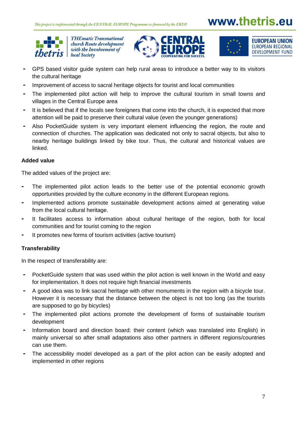

**THEmatic Transnational** church Route development with the Involvement of





- *-* GPS based visitor guide system can help rural areas to introduce a better way to its visitors the cultural heritage
- *-* Improvement of access to sacral heritage objects for tourist and local communities
- *-* The implemented pilot action will help to improve the cultural tourism in small towns and villages in the Central Europe area
- *-* It is believed that if the locals see foreigners that come into the church, it is expected that more attention will be paid to preserve their cultural value (even the younger generations)
- *-* Also PocketGuide system is very important element influencing the region, the route and connection of churches. The application was dedicated not only to sacral objects, but also to nearby heritage buildings linked by bike tour. Thus, the cultural and historical values are linked.

#### **Added value**

The added values of the project are:

- *-* The implemented pilot action leads to the better use of the potential economic growth opportunities provided by the culture economy in the different European regions.
- *-* Implemented actions promote sustainable development actions aimed at generating value from the local cultural heritage.
- *-* It facilitates access to information about cultural heritage of the region, both for local communities and for tourist coming to the region
- *-* It promotes new forms of tourism activities (active tourism)

#### **Transferability**

In the respect of transferability are:

- *-* PocketGuide system that was used within the pilot action is well known in the World and easy for implementation. It does not require high financial investments
- *-* A good idea was to link sacral heritage with other monuments in the region with a bicycle tour. However it is necessary that the distance between the object is not too long (as the tourists are supposed to go by bicycles)
- The implemented pilot actions promote the development of forms of sustainable tourism development
- *-* Information board and direction board: their content (which was translated into English) in mainly universal so after small adaptations also other partners in different regions/countries can use them.
- The accessibility model developed as a part of the pilot action can be easily adopted and implemented in other regions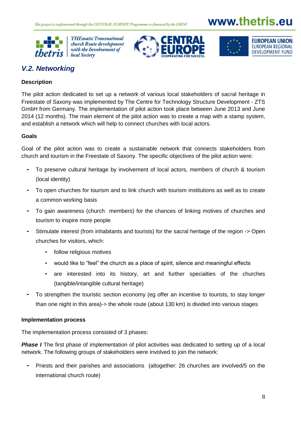

**THEmatic Transnational** church Route development with the Involvement of





## *V.2. Networking*

### **Description**

The pilot action dedicated to set up a network of various local stakeholders of sacral heritage in Freestate of Saxony was implemented by The Centre for Technology Structure Development - ZTS GmbH from Germany. The implementation of pilot action took place between June 2013 and June 2014 (12 months). The main element of the pilot action was to create a map with a stamp system, and establish a network which will help to connect churches with local actors.

#### **Goals**

Goal of the pilot action was to create a sustainable network that connects stakeholders from church and tourism in the Freestate of Saxony. The specific objectives of the pilot action were:

- *-* To preserve cultural heritage by involvement of local actors, members of church & tourism (local identity)
- *-* To open churches for tourism and to link church with tourism institutions as well as to create a common working basis
- *-* To gain awareness (church members) for the chances of linking motives of churches and tourism to inspire more people
- *-* Stimulate interest (from inhabitants and tourists) for the sacral heritage of the region -> Open churches for visitors, which:
	- *-* follow religious motives
	- *-* would like to "feel" the church as a place of spirit, silence and meaningful effects
	- *-* are interested into its history, art and further specialties of the churches (tangible/intangible cultural heritage)
- *-* To strengthen the touristic section economy (eg offer an incentive to tourists, to stay longer than one night in this area)-> the whole route (about 130 km) is divided into various stages

#### **Implementation process**

The implementation process consisted of 3 phases:

**Phase I** The first phase of implementation of pilot activities was dedicated to setting up of a local network. The following groups of stakeholders were involved to join the network:

**-** Priests and their parishes and associations (altogether: 26 churches are involved/5 on the international church route)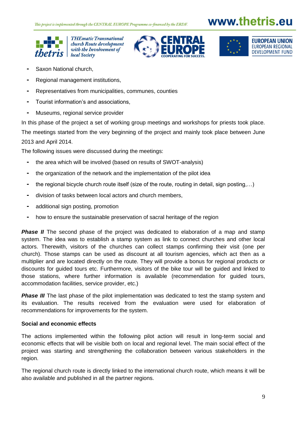

**THEmatic Transnational** church Route development with the Involvement of





- **-** Saxon National church,
- **-** Regional management institutions,
- **-** Representatives from municipalities, communes, counties
- **-** Tourist information's and associations,
- **-** Museums, regional service provider

In this phase of the project a set of working group meetings and workshops for priests took place. The meetings started from the very beginning of the project and mainly took place between June 2013 and April 2014.

The following issues were discussed during the meetings:

- **-** the area which will be involved (based on results of SWOT-analysis)
- **-** the organization of the network and the implementation of the pilot idea
- **-** the regional bicycle church route itself (size of the route, routing in detail, sign posting,…)
- **-** division of tasks between local actors and church members,
- **-** additional sign posting, promotion
- **-** how to ensure the sustainable preservation of sacral heritage of the region

**Phase II** The second phase of the project was dedicated to elaboration of a map and stamp system. The idea was to establish a stamp system as link to connect churches and other local actors. Therewith, visitors of the churches can collect stamps confirming their visit (one per church). Those stamps can be used as discount at all tourism agencies, which act then as a multiplier and are located directly on the route. They will provide a bonus for regional products or discounts for guided tours etc. Furthermore, visitors of the bike tour will be guided and linked to those stations, where further information is available (recommendation for guided tours, accommodation facilities, service provider, etc.)

**Phase III** The last phase of the pilot implementation was dedicated to test the stamp system and its evaluation. The results received from the evaluation were used for elaboration of recommendations for improvements for the system.

#### **Social and economic effects**

The actions implemented within the following pilot action will result in long-term social and economic effects that will be visible both on local and regional level. The main social effect of the project was starting and strengthening the collaboration between various stakeholders in the region.

The regional church route is directly linked to the international church route, which means it will be also available and published in all the partner regions.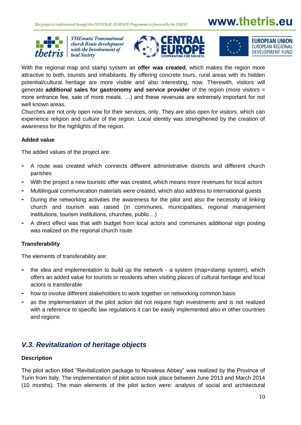

**THEmatic Transnational** church Route development with the Involvement of







With the regional map and stamp system an **offer was created**, which makes the region more attractive to both, tourists and inhabitants. By offering concrete tours, rural areas with its hidden potential/cultural heritage are more visible and also interesting, now. Therewith, visitors will generate **additional sales for gastronomy and service provider** of the region (more visitors = more entrance fee, sale of more meals, …) and these revenues are extremely important for not well known areas.

Churches are not only open now for their services, only. They are also open for visitors, which can experience religion and culture of the region. Local identity was strengthened by the creation of awareness for the highlights of the region.

#### **Added value**

The added values of the project are:

- **-** A route was created which connects different administrative districts and different church parishes
- **-** With the project a new touristic offer was created, which means more revenues for local actors
- **-** Multilingual communication materials were created, which also address to international guests
- **-** During the networking activities the awareness for the pilot and also the necessity of linking church and tourism was raised (in communes, municipalities, regional management institutions, tourism institutions, churches, public…)
- **-** A direct effect was that with budget from local actors and communes additional sign posting was realized on the regional church route

#### **Transferability**

The elements of transferability are:

- **-** the idea and implementation to build up the network a system (map+stamp system), which offers an added value for tourists or residents when visiting places of cultural heritage and local actors is transferable
- **-** how to involve different stakeholders to work together on networking common basis
- **-** as the implementation of the pilot action did not require high investments and is not realized with a reference to specific law regulations it can be easily implemented also in other countries and regions

### *V.3. Revitalization of heritage objects*

#### **Description**

The pilot action titled "Revitalization package to Novalesa Abbey" was realized by the Province of Turin from Italy. The implementation of pilot action took place between June 2013 and March 2014 (10 months). The main elements of the pilot action were: analysis of social and architectural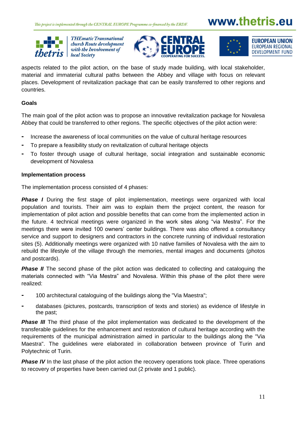

**THEmatic Transnational** church Route development with the Involvement of







aspects related to the pilot action, on the base of study made building, with local stakeholder, material and immaterial cultural paths between the Abbey and village with focus on relevant places. Development of revitalization package that can be easily transferred to other regions and countries.

#### **Goals**

The main goal of the pilot action was to propose an innovative revitalization package for Novalesa Abbey that could be transferred to other regions. The specific objectives of the pilot action were:

- **-** Increase the awareness of local communities on the value of cultural heritage resources
- **-** To prepare a feasibility study on revitalization of cultural heritage objects
- **-** To foster through usage of cultural heritage, social integration and sustainable economic development of Novalesa

#### **Implementation process**

The implementation process consisted of 4 phases:

**Phase I** During the first stage of pilot implementation, meetings were organized with local population and tourists. Their aim was to explain them the project content, the reason for implementation of pilot action and possible benefits that can come from the implemented action in the future. 4 technical meetings were organized in the work sites along "via Mestra". For the meetings there were invited 100 owners' center buildings. There was also offered a consultancy service and support to designers and contractors in the concrete running of individual restoration sites (5). Additionally meetings were organized with 10 native families of Novalesa with the aim to rebuild the lifestyle of the village through the memories, mental images and documents (photos and postcards).

**Phase II** The second phase of the pilot action was dedicated to collecting and cataloguing the materials connected with "Via Mestra" and Novalesa. Within this phase of the pilot there were realized:

- **-** 100 architectural cataloguing of the buildings along the "Via Maestra";
- **-** databases (pictures, postcards, transcription of texts and stories) as evidence of lifestyle in the past;

**Phase III** The third phase of the pilot implementation was dedicated to the development of the transferable guidelines for the enhancement and restoration of cultural heritage according with the requirements of the municipal administration aimed in particular to the buildings along the "Via Maestra". The guidelines were elaborated in collaboration between province of Turin and Polytechnic of Turin.

**Phase IV** In the last phase of the pilot action the recovery operations took place. Three operations to recovery of properties have been carried out (2 private and 1 public).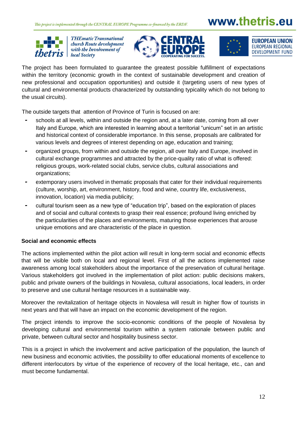

**THEmatic Transnational** church Route development with the Involvement of







The project has been formulated to guarantee the greatest possible fulfillment of expectations within the territory (economic growth in the context of sustainable development and creation of new professional and occupation opportunities) and outside it (targeting users of new types of cultural and environmental products characterized by outstanding typicality which do not belong to the usual circuits).

The outside targets that attention of Province of Turin is focused on are:

- *-* schools at all levels, within and outside the region and, at a later date, coming from all over Italy and Europe, which are interested in learning about a territorial "unicum" set in an artistic and historical context of considerable importance. In this sense, proposals are calibrated for various levels and degrees of interest depending on age, education and training;
- *-* organized groups, from within and outside the region, all over Italy and Europe, involved in cultural exchange programmes and attracted by the price-quality ratio of what is offered: religious groups, work-related social clubs, service clubs, cultural associations and organizations;
- *-* extemporary users involved in thematic proposals that cater for their individual requirements (culture, worship, art, environment, history, food and wine, country life, exclusiveness, innovation, location) via media publicity;
- *-* cultural tourism seen as a new type of "education trip", based on the exploration of places and of social and cultural contexts to grasp their real essence; profound living enriched by the particularities of the places and environments, maturing those experiences that arouse unique emotions and are characteristic of the place in question.

#### **Social and economic effects**

The actions implemented within the pilot action will result in long-term social and economic effects that will be visible both on local and regional level. First of all the actions implemented raise awareness among local stakeholders about the importance of the preservation of cultural heritage. Various stakeholders got involved in the implementation of pilot action: public decisions makers, public and private owners of the buildings in Novalesa, cultural associations, local leaders, in order to preserve and use cultural heritage resources in a sustainable way.

Moreover the revitalization of heritage objects in Novalesa will result in higher flow of tourists in next years and that will have an impact on the economic development of the region.

The project intends to improve the socio-economic conditions of the people of Novalesa by developing cultural and environmental tourism within a system rationale between public and private, between cultural sector and hospitality business sector.

This is a project in which the involvement and active participation of the population, the launch of new business and economic activities, the possibility to offer educational moments of excellence to different interlocutors by virtue of the experience of recovery of the local heritage, etc., can and must become fundamental.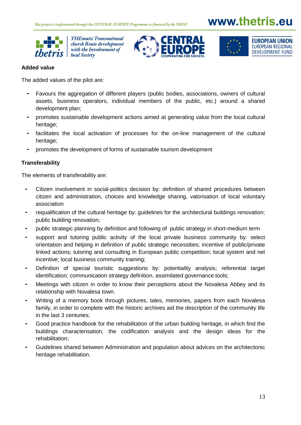

**THEmatic Transnational** church Route development with the Involvement of





### **Added value**

The added values of the pilot are:

- *-* Favours the aggregation of different players (public bodies, associations, owners of cultural assets, business operators, individual members of the public, etc.) around a shared development plan;
- *-* promotes sustainable development actions aimed at generating value from the local cultural heritage;
- *-* facilitates the local activation of processes for the on-line management of the cultural heritage;
- *-* promotes the development of forms of sustainable tourism development

### **Transferability**

The elements of transferability are:

- **-** Citizen involvement in social-politics decision by: definition of shared procedures between citizen and administration, choices and knowledge sharing, valorisation of local voluntary association
- **-** requalification of the cultural heritage by: guidelines for the architectural buildings renovation; public building renovation;
- **-** public strategic planning by definition and following of public strategy in short-medium term
- **-** support and tutoring public activity of the local private business community by: select orientation and helping in definition of public strategic necessities; incentive of public/private linked actions; tutoring and consulting in European public competition; local system and net incentive; local business community training;
- **-** Definition of special touristic suggestions by: potentiality analysis; referential target identification; communication strategy definition, assimilated governance tools;
- **-** Meetings with citizen in order to know their perceptions about the Novalesa Abbey and its relationship with Novalesa town.
- **-** Writing of a memory book through pictures, tales, memories, papers from each Novalesa family, in order to complete with the historic archives aid the description of the community life in the last 3 centuries;
- **-** Good practice handbook for the rehabilitation of the urban building heritage, in which find the buildings characterisation, the codification analysis and the design ideas for the rehabilitation;
- **-** Guidelines shared between Administration and population about advices on the architectonic heritage rehabilitation.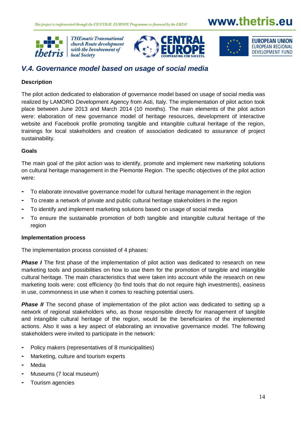

**THEmatic Transnational** church Route development with the Involvement of





### *V.4. Governance model based on usage of social media*

### **Description**

The pilot action dedicated to elaboration of governance model based on usage of social media was realized by LAMORO Development Agency from Asti, Italy. The implementation of pilot action took place between June 2013 and March 2014 (10 months). The main elements of the pilot action were: elaboration of new governance model of heritage resources, development of interactive website and Facebook profile promoting tangible and intangible cultural heritage of the region, trainings for local stakeholders and creation of association dedicated to assurance of project sustainability.

#### **Goals**

The main goal of the pilot action was to identify, promote and implement new marketing solutions on cultural heritage management in the Piemonte Region. The specific objectives of the pilot action were:

- **-** To elaborate innovative governance model for cultural heritage management in the region
- **-** To create a network of private and public cultural heritage stakeholders in the region
- **-** To identify and implement marketing solutions based on usage of social media
- **-** To ensure the sustainable promotion of both tangible and intangible cultural heritage of the region

#### **Implementation process**

The implementation process consisted of 4 phases:

**Phase I** The first phase of the implementation of pilot action was dedicated to research on new marketing tools and possibilities on how to use them for the promotion of tangible and intangible cultural heritage. The main characteristics that were taken into account while the research on new marketing tools were: cost efficiency (to find tools that do not require high investments), easiness in use, commonness in use when it comes to reaching potential users.

**Phase II** The second phase of implementation of the pilot action was dedicated to setting up a network of regional stakeholders who, as those responsible directly for management of tangible and intangible cultural heritage of the region, would be the beneficiaries of the implemented actions. Also it was a key aspect of elaborating an innovative governance model. The following stakeholders were invited to participate in the network:

- **-** Policy makers (representatives of 8 municipalities)
- **-** Marketing, culture and tourism experts
- **-** Media
- **-** Museums (7 local museum)
- **-** Tourism agencies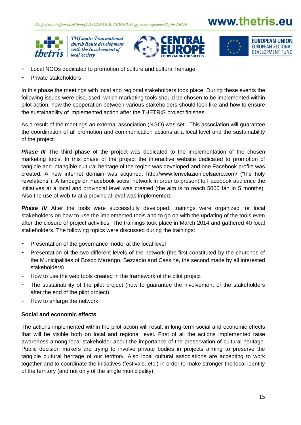

**THEmatic Transnational** church Route development with the Involvement of





- **-** Local NGOs dedicated to promotion of culture and cultural heritage
- **-** Private stakeholders

In this phase the meetings with local and regional stakeholders took place. During these events the following issues were discussed: which marketing tools should be chosen to be implemented within pilot action, how the cooperation between various stakeholders should look like and how to ensure the sustainability of implemented action after the THETRIS project finishes.

As a result of the meetings an external association (NGO) was set. This association will guarantee the coordination of all promotion and communication actions at a local level and the sustainability of the project.

**Phase III** The third phase of the project was dedicated to the implementation of the chosen marketing tools. In this phase of the project the interactive website dedicated to promotion of tangible and intangible cultural heritage of the region was developed and one Facebook profile was created. A new internet domain was acquired, http://www.lerivelazionidelsacro.com/ ("the holy revelations"). A fanpage on Facebook social network in order to present to Facebook audience the initiatives at a local and provincial level was created (the aim is to reach 5000 fan in 5 months). Also the use of web-tv at a provincial level was implemented.

**Phase IV** After the tools were successfully developed, trainings were organized for local stakeholders on how to use the implemented tools and to go on with the updating of the tools even after the closure of project activities. The trainings took place in March 2014 and gathered 40 local stakeholders. The following topics were discussed during the trainings:

- **-** Presentation of the governance model at the local level
- **-** Presentation of the two different levels of the network (the first constituted by the churches of the Municipalities of Bosco Marengo, Sezzadio and Cassine, the second made by all interested stakeholders)
- **-** How to use the web tools created in the framework of the pilot project
- **-** The sustainability of the pilot project (how to guarantee the involvement of the stakeholders after the end of the pilot project)
- **-** How to enlarge the network

### **Social and economic effects**

The actions implemented within the pilot action will result in long-term social and economic effects that will be visible both on local and regional level. First of all the actions implemented raise awareness among local stakeholder about the importance of the preservation of cultural heritage. Public decision makers are trying to involve private bodies in projects aiming to preserve the tangible cultural heritage of our territory. Also local cultural associations are accepting to work together and to coordinate the initiatives (festivals, etc.) in order to make stronger the local identity of the territory (and not only of the single municipality)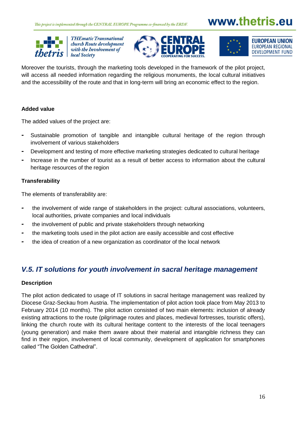

**THEmatic Transnational** church Route development with the Involvement of







Moreover the tourists, through the marketing tools developed in the framework of the pilot project, will access all needed information regarding the religious monuments, the local cultural initiatives and the accessibility of the route and that in long-term will bring an economic effect to the region.

### **Added value**

The added values of the project are:

- **-** Sustainable promotion of tangible and intangible cultural heritage of the region through involvement of various stakeholders
- **-** Development and testing of more effective marketing strategies dedicated to cultural heritage
- **-** Increase in the number of tourist as a result of better access to information about the cultural heritage resources of the region

#### **Transferability**

The elements of transferability are:

- *-* the involvement of wide range of stakeholders in the project: cultural associations, volunteers, local authorities, private companies and local individuals
- *-* the involvement of public and private stakeholders through networking
- *-* the marketing tools used in the pilot action are easily accessible and cost effective
- *-* the idea of creation of a new organization as coordinator of the local network

### *V.5. IT solutions for youth involvement in sacral heritage management*

#### **Description**

The pilot action dedicated to usage of IT solutions in sacral heritage management was realized by Diocese Graz-Seckau from Austria. The implementation of pilot action took place from May 2013 to February 2014 (10 months). The pilot action consisted of two main elements: inclusion of already existing attractions to the route (pilgrimage routes and places, medieval fortresses, touristic offers), linking the church route with its cultural heritage content to the interests of the local teenagers (young generation) and make them aware about their material and intangible richness they can find in their region, involvement of local community, development of application for smartphones called "The Golden Cathedral".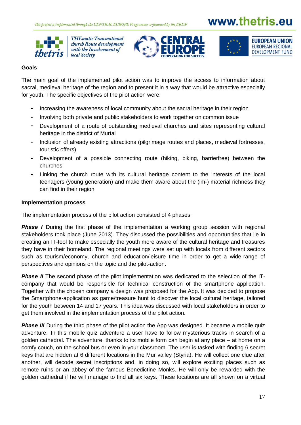

**THEmatic Transnational** church Route development with the Involvement of





#### **Goals**

The main goal of the implemented pilot action was to improve the access to information about sacral, medieval heritage of the region and to present it in a way that would be attractive especially for youth. The specific objectives of the pilot action were:

- *-* Increasing the awareness of local community about the sacral heritage in their region
- *-* Involving both private and public stakeholders to work together on common issue
- *-* Development of a route of outstanding medieval churches and sites representing cultural heritage in the district of Murtal
- *-* Inclusion of already existing attractions (pilgrimage routes and places, medieval fortresses, touristic offers)
- *-* Development of a possible connecting route (hiking, biking, barrierfree) between the churches
- *-* Linking the church route with its cultural heritage content to the interests of the local teenagers (young generation) and make them aware about the (im-) material richness they can find in their region

#### **Implementation process**

The implementation process of the pilot action consisted of 4 phases:

**Phase I** During the first phase of the implementation a working group session with regional stakeholders took place (June 2013). They discussed the possibilities and opportunities that lie in creating an IT-tool to make especially the youth more aware of the cultural heritage and treasures they have in their homeland. The regional meetings were set up with locals from different sectors such as tourism/economy, church and education/leisure time in order to get a wide-range of perspectives and opinions on the topic and the pilot-action.

**Phase II** The second phase of the pilot implementation was dedicated to the selection of the ITcompany that would be responsible for technical construction of the smartphone application. Together with the chosen company a design was proposed for the App. It was decided to propose the Smartphone-application as game/treasure hunt to discover the local cultural heritage, tailored for the youth between 14 and 17 years. This idea was discussed with local stakeholders in order to get them involved in the implementation process of the pilot action.

**Phase III** During the third phase of the pilot action the App was designed. It became a mobile quiz adventure. In this mobile quiz adventure a user have to follow mysterious tracks in search of a golden cathedral. The adventure, thanks to its mobile form can begin at any place – at home on a comfy couch, on the school bus or even in your classroom. The user is tasked with finding 6 secret keys that are hidden at 6 different locations in the Mur valley (Styria). He will collect one clue after another, will decode secret inscriptions and, in doing so, will explore exciting places such as remote ruins or an abbey of the famous Benedictine Monks. He will only be rewarded with the golden cathedral if he will manage to find all six keys. These locations are all shown on a virtual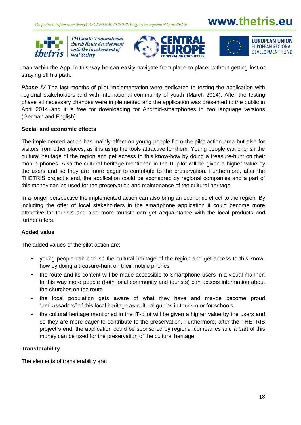

**THEmatic Transnational** church Route development with the Involvement of







map within the App. In this way he can easily navigate from place to place, without getting lost or straying off his path.

**Phase IV** The last months of pilot implementation were dedicated to testing the application with regional stakeholders and with international community of youth (March 2014). After the testing phase all necessary changes were implemented and the application was presented to the public in April 2014 and it is free for downloading for Android-smartphones in two language versions (German and English).

#### **Social and economic effects**

The implemented action has mainly effect on young people from the pilot action area but also for visitors from other places, as it is using the tools attractive for them. Young people can cherish the cultural heritage of the region and get access to this know-how by doing a treasure-hunt on their mobile phones. Also the cultural heritage mentioned in the IT-pilot will be given a higher value by the users and so they are more eager to contribute to the preservation. Furthermore, after the THETRIS project´s end, the application could be sponsored by regional companies and a part of this money can be used for the preservation and maintenance of the cultural heritage.

In a longer perspective the implemented action can also bring an economic effect to the region. By including the offer of local stakeholders in the smartphone application it could become more attractive for tourists and also more tourists can get acquaintance with the local products and further offers.

#### **Added value**

The added values of the pilot action are:

- *-* young people can cherish the cultural heritage of the region and get access to this knowhow by doing a treasure-hunt on their mobile phones
- *-* the route and its content will be made accessible to Smartphone-users in a visual manner. In this way more people (both local community and tourists) can access information about the churches on the route
- *-* the local population gets aware of what they have and maybe become proud "ambassadors" of this local heritage as cultural guides in tourism or for schools
- *-* the cultural heritage mentioned in the IT-pilot will be given a higher value by the users and so they are more eager to contribute to the preservation. Furthermore, after the THETRIS project´s end, the application could be sponsored by regional companies and a part of this money can be used for the preservation of the cultural heritage.

#### **Transferability**

The elements of transferability are: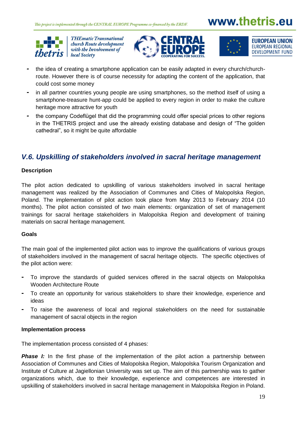

**THEmatic Transnational** church Route development with the Involvement of





- *-* the idea of creating a smartphone application can be easily adapted in every church/churchroute. However there is of course necessity for adapting the content of the application, that could cost some money
- *-* in all partner countries young people are using smartphones, so the method itself of using a smartphone-treasure hunt-app could be applied to every region in order to make the culture heritage more attractive for youth
- *-* the company Codeflügel that did the programming could offer special prices to other regions in the THETRIS project and use the already existing database and design of "The golden cathedral", so it might be quite affordable

### *V.6. Upskilling of stakeholders involved in sacral heritage management*

#### **Description**

The pilot action dedicated to upskilling of various stakeholders involved in sacral heritage management was realized by the Association of Communes and Cities of Malopolska Region, Poland. The implementation of pilot action took place from May 2013 to February 2014 (10 months). The pilot action consisted of two main elements: organization of set of management trainings for sacral heritage stakeholders in Malopolska Region and development of training materials on sacral heritage management.

#### **Goals**

The main goal of the implemented pilot action was to improve the qualifications of various groups of stakeholders involved in the management of sacral heritage objects. The specific objectives of the pilot action were:

- **-** To improve the standards of guided services offered in the sacral objects on Malopolska Wooden Architecture Route
- **-** To create an opportunity for various stakeholders to share their knowledge, experience and ideas
- **-** To raise the awareness of local and regional stakeholders on the need for sustainable management of sacral objects in the region

#### **Implementation process**

The implementation process consisted of 4 phases:

**Phase I:** In the first phase of the implementation of the pilot action a partnership between Association of Communes and Cities of Malopolska Region, Malopolska Tourism Organization and Institute of Culture at Jagiellonian University was set up. The aim of this partnership was to gather organizations which, due to their knowledge, experience and competences are interested in upskilling of stakeholders involved in sacral heritage management in Malopolska Region in Poland.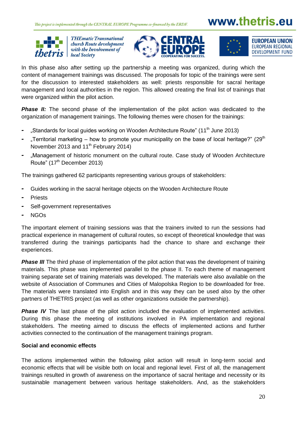

**THEmatic Transnational** church Route development with the Involvement of







In this phase also after setting up the partnership a meeting was organized, during which the content of management trainings was discussed. The proposals for topic of the trainings were sent for the discussion to interested stakeholders as well: priests responsible for sacral heritage management and local authorities in the region. This allowed creating the final list of trainings that were organized within the pilot action.

**Phase II:** The second phase of the implementation of the pilot action was dedicated to the organization of management trainings. The following themes were chosen for the trainings:

- "Standards for local guides working on Wooden Architecture Route" (11<sup>th</sup> June 2013)
- <sup>-</sup> "Territorial marketing how to promote your municipality on the base of local heritage?" (29<sup>th</sup>) November 2013 and 11<sup>th</sup> February 2014)
- *-* "Management of historic monument on the cultural route. Case study of Wooden Architecture Route" (17<sup>th</sup> December 2013)

The trainings gathered 62 participants representing various groups of stakeholders:

- *-* Guides working in the sacral heritage objects on the Wooden Architecture Route
- *-* Priests
- *-* Self-government representatives
- *-* NGOs

The important element of training sessions was that the trainers invited to run the sessions had practical experience in management of cultural routes, so except of theoretical knowledge that was transferred during the trainings participants had the chance to share and exchange their experiences.

**Phase III** The third phase of implementation of the pilot action that was the development of training materials. This phase was implemented parallel to the phase II. To each theme of management training separate set of training materials was developed. The materials were also available on the website of Association of Communes and Cities of Malopolska Region to be downloaded for free. The materials were translated into English and in this way they can be used also by the other partners of THETRIS project (as well as other organizations outside the partnership).

**Phase IV** The last phase of the pilot action included the evaluation of implemented activities. During this phase the meeting of institutions involved in PA implementation and regional stakeholders. The meeting aimed to discuss the effects of implemented actions and further activities connected to the continuation of the management trainings program.

#### **Social and economic effects**

The actions implemented within the following pilot action will result in long-term social and economic effects that will be visible both on local and regional level. First of all, the management trainings resulted in growth of awareness on the importance of sacral heritage and necessity or its sustainable management between various heritage stakeholders. And, as the stakeholders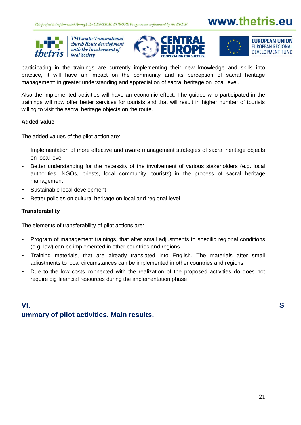

**THEmatic Transnational** church Route development with the Involvement of







participating in the trainings are currently implementing their new knowledge and skills into practice, it will have an impact on the community and its perception of sacral heritage management: in greater understanding and appreciation of sacral heritage on local level.

Also the implemented activities will have an economic effect. The guides who participated in the trainings will now offer better services for tourists and that will result in higher number of tourists willing to visit the sacral heritage objects on the route.

#### **Added value**

The added values of the pilot action are:

- *-* Implementation of more effective and aware management strategies of sacral heritage objects on local level
- *-* Better understanding for the necessity of the involvement of various stakeholders (e.g. local authorities, NGOs, priests, local community, tourists) in the process of sacral heritage management
- Sustainable local development
- Better policies on cultural heritage on local and regional level

#### **Transferability**

The elements of transferability of pilot actions are:

- *-* Program of management trainings, that after small adjustments to specific regional conditions (e.g. law) can be implemented in other countries and regions
- *-* Training materials, that are already translated into English. The materials after small adjustments to local circumstances can be implemented in other countries and regions
- *-* Due to the low costs connected with the realization of the proposed activities do does not require big financial resources during the implementation phase

## **VI. S ummary of pilot activities. Main results.**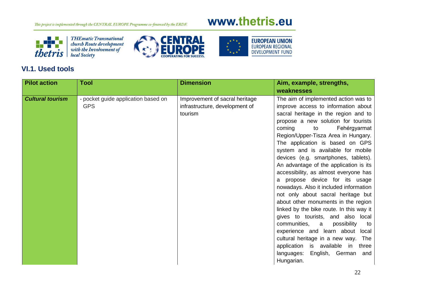# www.thetris.eu



**THEmatic Transnational** *church Route development*<br>with the Involvement of<br>local Society





## **VI.1. Used tools**

| <b>Pilot action</b>     | <b>Tool</b>                                       | <b>Dimension</b>                                                            | Aim, example, strengths,                                                                                                                                                                                                                                                                                                                                                                                                                                                                                                                                                                                                                                                                                                                                                                                                                                                                        |
|-------------------------|---------------------------------------------------|-----------------------------------------------------------------------------|-------------------------------------------------------------------------------------------------------------------------------------------------------------------------------------------------------------------------------------------------------------------------------------------------------------------------------------------------------------------------------------------------------------------------------------------------------------------------------------------------------------------------------------------------------------------------------------------------------------------------------------------------------------------------------------------------------------------------------------------------------------------------------------------------------------------------------------------------------------------------------------------------|
|                         |                                                   |                                                                             | weaknesses                                                                                                                                                                                                                                                                                                                                                                                                                                                                                                                                                                                                                                                                                                                                                                                                                                                                                      |
| <b>Cultural tourism</b> | - pocket guide application based on<br><b>GPS</b> | Improvement of sacral heritage<br>infrastructure, development of<br>tourism | The aim of implemented action was to<br>improve access to information about<br>sacral heritage in the region and to<br>propose a new solution for tourists<br>coming<br>Fehérgyarmat<br>to<br>Region/Upper-Tisza Area in Hungary.<br>The application is based on GPS<br>system and is available for mobile<br>devices (e.g. smartphones, tablets).<br>An advantage of the application is its<br>accessibility, as almost everyone has<br>a propose device for its usage<br>nowadays. Also it included information<br>not only about sacral heritage but<br>about other monuments in the region<br>linked by the bike route. In this way it<br>gives to tourists, and also local<br>communities,<br>possibility<br>a<br>to<br>experience and learn about local<br>cultural heritage in a new way. The<br>is available in three<br>application<br>English, German and<br>languages:<br>Hungarian. |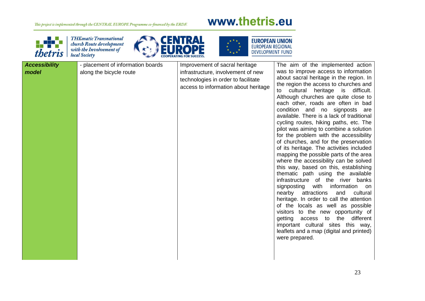# www.thetris.eu



THEmatic Transnational<br>church Route development<br>with the Involvement of<br>local Society





| <b>Accessibility</b> | - placement of information boards | Improvement of sacral heritage       | The aim of the implemented action                                           |
|----------------------|-----------------------------------|--------------------------------------|-----------------------------------------------------------------------------|
| model                | along the bicycle route           | infrastructure, involvement of new   | was to improve access to information                                        |
|                      |                                   | technologies in order to facilitate  | about sacral heritage in the region. In                                     |
|                      |                                   | access to information about heritage | the region the access to churches and                                       |
|                      |                                   |                                      | cultural<br>heritage is<br>difficult.<br>to                                 |
|                      |                                   |                                      | Although churches are quite close to<br>each other, roads are often in bad  |
|                      |                                   |                                      | condition and no signposts are                                              |
|                      |                                   |                                      | available. There is a lack of traditional                                   |
|                      |                                   |                                      | cycling routes, hiking paths, etc. The                                      |
|                      |                                   |                                      | pilot was aiming to combine a solution                                      |
|                      |                                   |                                      | for the problem with the accessibility                                      |
|                      |                                   |                                      | of churches, and for the preservation                                       |
|                      |                                   |                                      | of its heritage. The activities included                                    |
|                      |                                   |                                      | mapping the possible parts of the area                                      |
|                      |                                   |                                      | where the accessibility can be solved                                       |
|                      |                                   |                                      | this way, based on this, establishing                                       |
|                      |                                   |                                      | thematic path using the available                                           |
|                      |                                   |                                      | infrastructure of the river banks                                           |
|                      |                                   |                                      | with information<br>signposting<br>on                                       |
|                      |                                   |                                      | nearby attractions<br>cultural<br>and                                       |
|                      |                                   |                                      | heritage. In order to call the attention                                    |
|                      |                                   |                                      | of the locals as well as possible                                           |
|                      |                                   |                                      | visitors to the new opportunity of<br>the<br>getting access to<br>different |
|                      |                                   |                                      | important cultural sites this way,                                          |
|                      |                                   |                                      | leaflets and a map (digital and printed)                                    |
|                      |                                   |                                      | were prepared.                                                              |
|                      |                                   |                                      |                                                                             |
|                      |                                   |                                      |                                                                             |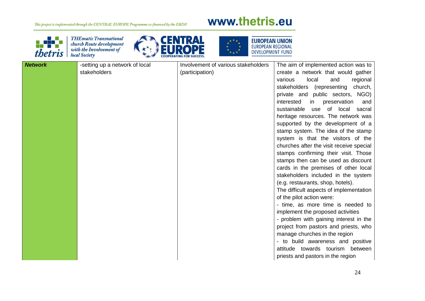# www.thetris.eu



**THEmatic Transnational** church Route development with the Involvement of **local Society** 





**Network** -setting up a network of local stakeholders Involvement of various stakeholders (participation) The aim of implemented action was to create a network that would gather various local and regional stakeholders (representing church, private and public sectors, NGO) interested in preservation and sustainable use of local sacral heritage resources. The network was supported by the development of a stamp system. The idea of the stamp system is that the visitors of the churches after the visit receive special stamps confirming their visit. Those stamps then can be used as discount cards in the premises of other local stakeholders included in the system (e.g. restaurants, shop, hotels). The difficult aspects of implementation of the pilot action were: - time, as more time is needed to implement the proposed activities - problem with gaining interest in the project from pastors and priests, who manage churches in the region - to build awareness and positive attitude towards tourism between priests and pastors in the region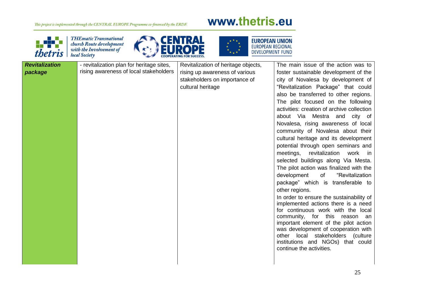# www.thetris.eu



**THEmatic Transnational** church Route development with the Involvement of **local Society** 





*Revitalization package* - revitalization plan for heritage sites, rising awareness of local stakeholders Revitalization of heritage objects, rising up awareness of various stakeholders on importance of cultural heritage The main issue of the action was to foster sustainable development of the city of Novalesa by development of "Revitalization Package" that could also be transferred to other regions. The pilot focused on the following activities: creation of archive collection about Via Mestra and city of Novalesa, rising awareness of local community of Novalesa about their cultural heritage and its development potential through open seminars and meetings, revitalization work in selected buildings along Via Mesta. The pilot action was finalized with the development of "Revitalization package" which is transferable to other regions. In order to ensure the sustainability of implemented actions there is a need for continuous work with the local community, for this reason an important element of the pilot action was development of cooperation with other local stakeholders (culture institutions and NGOs) that could continue the activities.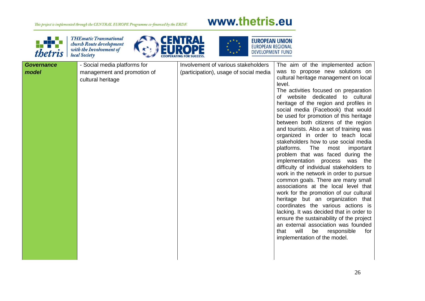# www.thetris.eu



*Governance* 

*model*

**THEmatic Transnational** church Route development with the Involvement of **local Society** 





- Social media platforms for management and promotion of cultural heritage Involvement of various stakeholders (participation), usage of social media The aim of the implemented action was to propose new solutions on cultural heritage management on local level. The activities focused on preparation of website dedicated to cultural heritage of the region and profiles in social media (Facebook) that would be used for promotion of this heritage between both citizens of the region and tourists. Also a set of training was organized in order to teach local stakeholders how to use social media platforms. The most important problem that was faced during the implementation process was the difficulty of individual stakeholders to work in the network in order to pursue common goals. There are many small associations at the local level that work for the promotion of our cultural heritage but an organization that coordinates the various actions is lacking. It was decided that in order to ensure the sustainability of the project an external association was founded that will be responsible for implementation of the model.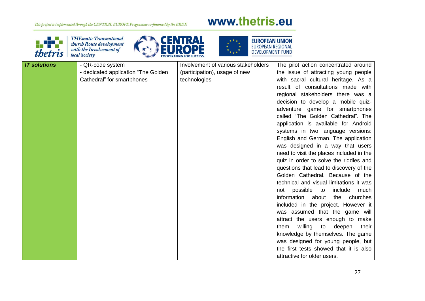# www.thetris.eu



**THEmatic Transnational** church Route development with the Involvement of **local Society** 





*IT solutions* - QR-code system - dedicated application "The Golden Cathedral" for smartphones Involvement of various stakeholders (participation), usage of new technologies The pilot action concentrated around the issue of attracting young people with sacral cultural heritage. As a result of consultations made with regional stakeholders there was a decision to develop a mobile quizadventure game for smartphones called "The Golden Cathedral". The application is available for Android systems in two language versions: English and German. The application was designed in a way that users need to visit the places included in the quiz in order to solve the riddles and questions that lead to discovery of the Golden Cathedral. Because of the technical and visual limitations it was not possible to include much information about the churches included in the project. However it was assumed that the game will attract the users enough to make them willing to deepen their knowledge by themselves. The game was designed for young people, but the first tests showed that it is also attractive for older users.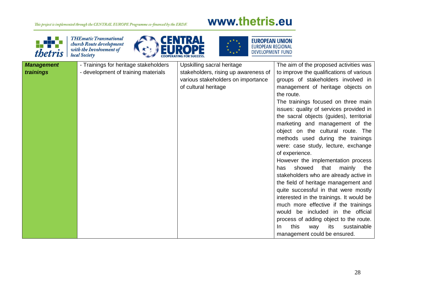# www.thetris.eu

 $\star$ 



THEmatic Transnational<br>church Route development<br>with the Involvement of<br>local Society





| <b>Management</b> | - Trainings for heritage stakeholders | Upskilling sacral heritage           | The aim of the proposed activities was   |
|-------------------|---------------------------------------|--------------------------------------|------------------------------------------|
| trainings         | - development of training materials   | stakeholders, rising up awareness of | to improve the qualifications of various |
|                   |                                       | various stakeholders on importance   | groups of stakeholders involved in       |
|                   |                                       | of cultural heritage                 | management of heritage objects on        |
|                   |                                       |                                      | the route.                               |
|                   |                                       |                                      | The trainings focused on three main      |
|                   |                                       |                                      | issues: quality of services provided in  |
|                   |                                       |                                      | the sacral objects (guides), territorial |
|                   |                                       |                                      | marketing and management of the          |
|                   |                                       |                                      | object on the cultural route. The        |
|                   |                                       |                                      | methods used during the trainings        |
|                   |                                       |                                      | were: case study, lecture, exchange      |
|                   |                                       |                                      | of experience.                           |
|                   |                                       |                                      | However the implementation process       |
|                   |                                       |                                      | showed<br>that<br>mainly the<br>has      |
|                   |                                       |                                      | stakeholders who are already active in   |
|                   |                                       |                                      | the field of heritage management and     |
|                   |                                       |                                      | quite successful in that were mostly     |
|                   |                                       |                                      | interested in the trainings. It would be |
|                   |                                       |                                      | much more effective if the trainings     |
|                   |                                       |                                      | would be included in the official        |
|                   |                                       |                                      | process of adding object to the route.   |
|                   |                                       |                                      | this<br>its<br>sustainable<br>way<br>In. |
|                   |                                       |                                      | management could be ensured.             |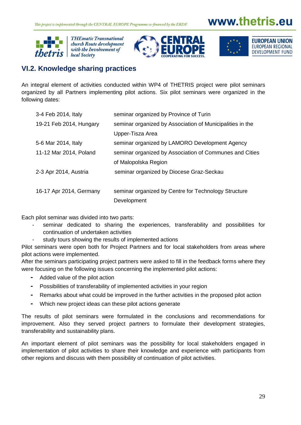

**THEmatic Transnational** church Route development with the Involvement of







### **VI.2. Knowledge sharing practices**

An integral element of activities conducted within WP4 of THETRIS project were pilot seminars organized by all Partners implementing pilot actions. Six pilot seminars were organized in the following dates:

| 3-4 Feb 2014, Italy     | seminar organized by Province of Turin                    |
|-------------------------|-----------------------------------------------------------|
| 19-21 Feb 2014, Hungary | seminar organized by Association of Municipalities in the |
|                         | Upper-Tisza Area                                          |
| 5-6 Mar 2014, Italy     | seminar organized by LAMORO Development Agency            |
| 11-12 Mar 2014, Poland  | seminar organized by Association of Communes and Cities   |
|                         | of Malopolska Region                                      |
| 2-3 Apr 2014, Austria   | seminar organized by Diocese Graz-Seckau                  |
|                         |                                                           |
| 16-17 Apr 2014, Germany | seminar organized by Centre for Technology Structure      |
|                         | Development                                               |

Each pilot seminar was divided into two parts:

- seminar dedicated to sharing the experiences, transferability and possibilities for continuation of undertaken activities
	- study tours showing the results of implemented actions

Pilot seminars were open both for Project Partners and for local stakeholders from areas where pilot actions were implemented.

After the seminars participating project partners were asked to fill in the feedback forms where they were focusing on the following issues concerning the implemented pilot actions:

- *-* Added value of the pilot action
- *-* Possibilities of transferability of implemented activities in your region
- *-* Remarks about what could be improved in the further activities in the proposed pilot action
- *-* Which new project ideas can these pilot actions generate

The results of pilot seminars were formulated in the conclusions and recommendations for improvement. Also they served project partners to formulate their development strategies, transferability and sustainability plans.

An important element of pilot seminars was the possibility for local stakeholders engaged in implementation of pilot activities to share their knowledge and experience with participants from other regions and discuss with them possibility of continuation of pilot activities.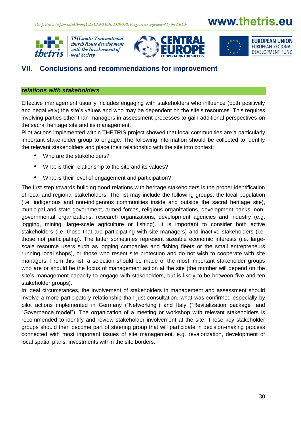

**THEmatic Transnational** church Route development with the Involvement of





## **VII. Conclusions and recommendations for improvement**

#### *relations with stakeholders*

Effective management usually includes engaging with stakeholders who influence (both positively and negatively) the site's values and who may be dependent on the site's resources. This requires involving parties other than managers in assessment processes to gain additional perspectives on the sacral heritage site and its management.

Pilot actions implemented within THETRIS project showed that local communities are a particularly important stakeholder group to engage. The following information should be collected to identify the relevant stakeholders and place their relationship with the site into context:

- Who are the stakeholders?
- What is their relationship to the site and its values?
- What is their level of engagement and participation?

The first step towards building good relations with heritage stakeholders is the proper identification of local and regional stakeholders. The list may include the following groups: the local population (i.e. indigenous and non-indigenous communities inside and outside the sacral heritage site), municipal and state government, armed forces, religious organizations, development banks, nongovernmental organizations, research organizations, development agencies and industry (e.g. logging, mining, large-scale agriculture or fishing). It is important to consider both active stakeholders (i.e. those that are participating with site managers) and inactive stakeholders (i.e. those not participating). The latter sometimes represent sizeable economic interests (i.e. largescale resource users such as logging companies and fishing fleets or the small entrepreneurs running local shops), or those who resent site protection and do not wish to cooperate with site managers. From this list, a selection should be made of the most important stakeholder groups who are or should be the focus of management action at the site (the number will depend on the site's management capacity to engage with stakeholders, but is likely to be between five and ten stakeholder groups).

In ideal circumstances, the involvement of stakeholders in management and assessment should involve a more participatory relationship than just consultation, what was confirmed especially by pilot actions implemented in Germany ("Networking") and Italy ("Revitalization package" and "Governance model"). The organization of a meeting or workshop with relevant stakeholders is recommended to identify and review stakeholder involvement at the site. These key stakeholder groups should then become part of steering group that will participate in decision-making process connected with most important issues of site management, e.g. revalorization, development of local spatial plans, investments within the site borders.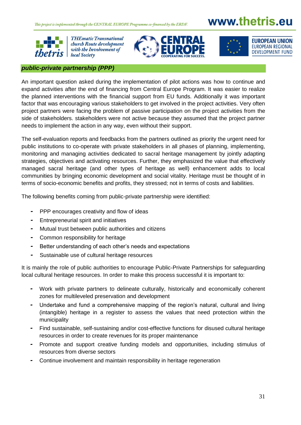

**THEmatic Transnational** church Route development with the Involvement of







#### *public-private partnership (PPP)*

An important question asked during the implementation of pilot actions was how to continue and expand activities after the end of financing from Central Europe Program. It was easier to realize the planned interventions with the financial support from EU funds. Additionally it was important factor that was encouraging various stakeholders to get involved in the project activities. Very often project partners were facing the problem of passive participation on the project activities from the side of stakeholders. stakeholders were not active because they assumed that the project partner needs to implement the action in any way, even without their support.

The self-evaluation reports and feedbacks from the partners outlined as priority the urgent need for public institutions to co-operate with private stakeholders in all phases of planning, implementing, monitoring and managing activities dedicated to sacral heritage management by jointly adapting strategies, objectives and activating resources. Further, they emphasized the value that effectively managed sacral heritage (and other types of heritage as well) enhancement adds to local communities by bringing economic development and social vitality. Heritage must be thought of in terms of socio-economic benefits and profits, they stressed; not in terms of costs and liabilities.

The following benefits coming from public-private partnership were identified:

- *-* PPP encourages creativity and flow of ideas
- *-* Entrepreneurial spirit and initiatives
- *-* Mutual trust between public authorities and citizens
- *-* Common responsibility for heritage
- *-* Better understanding of each other's needs and expectations
- *-* Sustainable use of cultural heritage resources

It is mainly the role of public authorities to encourage Public-Private Partnerships for safeguarding local cultural heritage resources. In order to make this process successful it is important to:

- *-* Work with private partners to delineate culturally, historically and economically coherent zones for multileveled preservation and development
- *-* Undertake and fund a comprehensive mapping of the region's natural, cultural and living (intangible) heritage in a register to assess the values that need protection within the municipality
- Find sustainable, self-sustaining and/or cost-effective functions for disused cultural heritage resources in order to create revenues for its proper maintenance
- Promote and support creative funding models and opportunities, including stimulus of resources from diverse sectors
- *-* Continue involvement and maintain responsibility in heritage regeneration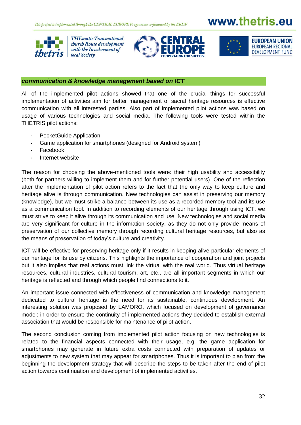

**THEmatic Transnational** church Route development with the Involvement of





#### *communication & knowledge management based on ICT*

All of the implemented pilot actions showed that one of the crucial things for successful implementation of activities aim for better management of sacral heritage resources is effective communication with all interested parties. Also part of implemented pilot actions was based on usage of various technologies and social media. The following tools were tested within the THETRIS pilot actions:

- **-** PocketGuide Application
- **-** Game application for smartphones (designed for Android system)
- **-** Facebook
- **-** Internet website

The reason for choosing the above-mentioned tools were: their high usability and accessibility (both for partners willing to implement them and for further potential users). One of the reflection after the implementation of pilot action refers to the fact that the only way to keep culture and heritage alive is through communication. New technologies can assist in preserving our memory (knowledge), but we must strike a balance between its use as a recorded memory tool and its use as a communication tool. In addition to recording elements of our heritage through using ICT, we must strive to keep it alive through its communication and use. New technologies and social media are very significant for culture in the information society, as they do not only provide means of preservation of our collective memory through recording cultural heritage resources, but also as the means of preservation of today's culture and creativity.

ICT will be effective for preserving heritage only if it results in keeping alive particular elements of our heritage for its use by citizens. This highlights the importance of cooperation and joint projects but it also implies that real actions must link the virtual with the real world. Thus virtual heritage resources, cultural industries, cultural tourism, art, etc., are all important segments in which our heritage is reflected and through which people find connections to it.

An important issue connected with effectiveness of communication and knowledge management dedicated to cultural heritage is the need for its sustainable, continuous development. An interesting solution was proposed by LAMORO, which focused on development of governance model: in order to ensure the continuity of implemented actions they decided to establish external association that would be responsible for maintenance of pilot action.

The second conclusion coming from implemented pilot action focusing on new technologies is related to the financial aspects connected with their usage, e.g. the game application for smartphones may generate in future extra costs connected with preparation of updates or adjustments to new system that may appear for smartphones. Thus it is important to plan from the beginning the development strategy that will describe the steps to be taken after the end of pilot action towards continuation and development of implemented activities.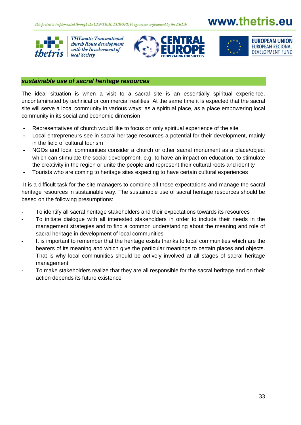

**THEmatic Transnational** church Route development with the Involvement of





#### *sustainable use of sacral heritage resources*

The ideal situation is when a visit to a sacral site is an essentially spiritual experience, uncontaminated by technical or commercial realities. At the same time it is expected that the sacral site will serve a local community in various ways: as a spiritual place, as a place empowering local community in its social and economic dimension:

- **-** Representatives of church would like to focus on only spiritual experience of the site
- **-** Local entrepreneurs see in sacral heritage resources a potential for their development, mainly in the field of cultural tourism
- **-** NGOs and local communities consider a church or other sacral monument as a place/object which can stimulate the social development, e.g. to have an impact on education, to stimulate the creativity in the region or unite the people and represent their cultural roots and identity
- **-** Tourists who are coming to heritage sites expecting to have certain cultural experiences

It is a difficult task for the site managers to combine all those expectations and manage the sacral heritage resources in sustainable way. The sustainable use of sacral heritage resources should be based on the following presumptions:

- **-** To identify all sacral heritage stakeholders and their expectations towards its resources
- **-** To initiate dialogue with all interested stakeholders in order to include their needs in the management strategies and to find a common understanding about the meaning and role of sacral heritage in development of local communities
- **-** It is important to remember that the heritage exists thanks to local communities which are the bearers of its meaning and which give the particular meanings to certain places and objects. That is why local communities should be actively involved at all stages of sacral heritage management
- **-** To make stakeholders realize that they are all responsible for the sacral heritage and on their action depends its future existence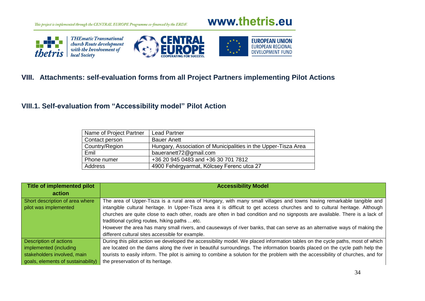







### **VIII. Attachments: self-evaluation forms from all Project Partners implementing Pilot Actions**

### **VIII.1. Self-evaluation from "Accessibility model" Pilot Action**

| Name of Project Partner | <b>Lead Partner</b>                                            |
|-------------------------|----------------------------------------------------------------|
| Contact person          | <b>Bauer Anett</b>                                             |
| Country/Region          | Hungary, Association of Municipalities in the Upper-Tisza Area |
| Emil                    | baueranett72@gmail.com                                         |
| Phone numer             | +36 20 945 0483 and +36 30 701 7812                            |
| Address                 | 4900 Fehérgyarmat, Kölcsey Ferenc utca 27                      |

| Title of implemented pilot         | <b>Accessibility Model</b>                                                                                                       |
|------------------------------------|----------------------------------------------------------------------------------------------------------------------------------|
| action                             |                                                                                                                                  |
| Short description of area where    | The area of Upper-Tisza is a rural area of Hungary, with many small villages and towns having remarkable tangible and            |
| pilot was implemented              | intangible cultural heritage. In Upper-Tisza area it is difficult to get access churches and to cultural heritage. Although      |
|                                    | churches are quite close to each other, roads are often in bad condition and no signposts are available. There is a lack of      |
|                                    | traditional cycling routes, hiking paths  etc.                                                                                   |
|                                    | However the area has many small rivers, and causeways of river banks, that can serve as an alternative ways of making the        |
|                                    | different cultural sites accessible for example.                                                                                 |
| Description of actions             | During this pilot action we developed the accessibility model. We placed information tables on the cycle paths, most of which    |
| implemented (including             | are located on the dams along the river in beautiful surroundings. The information boards placed on the cycle path help the      |
| stakeholders involved, main        | tourists to easily inform. The pilot is aiming to combine a solution for the problem with the accessibility of churches, and for |
| goals, elements of sustainability) | the preservation of its heritage.                                                                                                |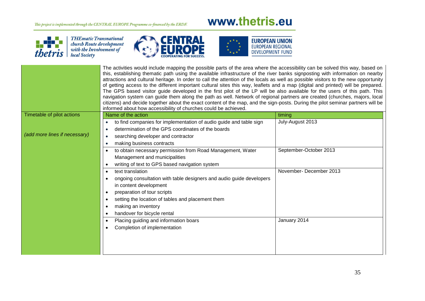# www.thetris.eu



**THEmatic Transnational** *church Route development*<br>with the Involvement of<br>local Society





|                               | The activities would include mapping the possible parts of the area where the accessibility can be solved this way, based on<br>this, establishing thematic path using the available infrastructure of the river banks signposting with information on nearby<br>attractions and cultural heritage. In order to call the attention of the locals as well as possible visitors to the new opportunity<br>of getting access to the different important cultural sites this way, leaflets and a map (digital and printed) will be prepared.<br>The GPS based visitor guide developed in the first pilot of the LP will be also available for the users of this path. This<br>navigation system can guide them along the path as well. Network of regional partners are created (churches, majors, local<br>citizens) and decide together about the exact content of the map, and the sign-posts. During the pilot seminar partners will be<br>informed about how accessibility of churches could be achieved. |                        |  |
|-------------------------------|------------------------------------------------------------------------------------------------------------------------------------------------------------------------------------------------------------------------------------------------------------------------------------------------------------------------------------------------------------------------------------------------------------------------------------------------------------------------------------------------------------------------------------------------------------------------------------------------------------------------------------------------------------------------------------------------------------------------------------------------------------------------------------------------------------------------------------------------------------------------------------------------------------------------------------------------------------------------------------------------------------|------------------------|--|
| Timetable of pilot actions    | Name of the action                                                                                                                                                                                                                                                                                                                                                                                                                                                                                                                                                                                                                                                                                                                                                                                                                                                                                                                                                                                         | timing                 |  |
|                               | to find companies for implementation of audio guide and table sign<br>$\bullet$                                                                                                                                                                                                                                                                                                                                                                                                                                                                                                                                                                                                                                                                                                                                                                                                                                                                                                                            | July-August 2013       |  |
|                               | determination of the GPS coordinates of the boards                                                                                                                                                                                                                                                                                                                                                                                                                                                                                                                                                                                                                                                                                                                                                                                                                                                                                                                                                         |                        |  |
| (add more lines if necessary) | searching developer and contractor                                                                                                                                                                                                                                                                                                                                                                                                                                                                                                                                                                                                                                                                                                                                                                                                                                                                                                                                                                         |                        |  |
|                               | making business contracts                                                                                                                                                                                                                                                                                                                                                                                                                                                                                                                                                                                                                                                                                                                                                                                                                                                                                                                                                                                  |                        |  |
|                               | to obtain necessary permission from Road Management, Water                                                                                                                                                                                                                                                                                                                                                                                                                                                                                                                                                                                                                                                                                                                                                                                                                                                                                                                                                 | September-October 2013 |  |
|                               | Management and municipalities                                                                                                                                                                                                                                                                                                                                                                                                                                                                                                                                                                                                                                                                                                                                                                                                                                                                                                                                                                              |                        |  |
|                               | writing of text to GPS based navigation system                                                                                                                                                                                                                                                                                                                                                                                                                                                                                                                                                                                                                                                                                                                                                                                                                                                                                                                                                             |                        |  |
|                               | text translation                                                                                                                                                                                                                                                                                                                                                                                                                                                                                                                                                                                                                                                                                                                                                                                                                                                                                                                                                                                           | November-December 2013 |  |
|                               | ongoing consultation with table designers and audio guide developers                                                                                                                                                                                                                                                                                                                                                                                                                                                                                                                                                                                                                                                                                                                                                                                                                                                                                                                                       |                        |  |
|                               | in content development                                                                                                                                                                                                                                                                                                                                                                                                                                                                                                                                                                                                                                                                                                                                                                                                                                                                                                                                                                                     |                        |  |
|                               | preparation of tour scripts                                                                                                                                                                                                                                                                                                                                                                                                                                                                                                                                                                                                                                                                                                                                                                                                                                                                                                                                                                                |                        |  |
|                               | setting the location of tables and placement them                                                                                                                                                                                                                                                                                                                                                                                                                                                                                                                                                                                                                                                                                                                                                                                                                                                                                                                                                          |                        |  |
|                               | making an inventory                                                                                                                                                                                                                                                                                                                                                                                                                                                                                                                                                                                                                                                                                                                                                                                                                                                                                                                                                                                        |                        |  |
|                               | handover for bicycle rental                                                                                                                                                                                                                                                                                                                                                                                                                                                                                                                                                                                                                                                                                                                                                                                                                                                                                                                                                                                |                        |  |
|                               | Placing guiding and information boars                                                                                                                                                                                                                                                                                                                                                                                                                                                                                                                                                                                                                                                                                                                                                                                                                                                                                                                                                                      | January 2014           |  |
|                               | Completion of implementation                                                                                                                                                                                                                                                                                                                                                                                                                                                                                                                                                                                                                                                                                                                                                                                                                                                                                                                                                                               |                        |  |
|                               |                                                                                                                                                                                                                                                                                                                                                                                                                                                                                                                                                                                                                                                                                                                                                                                                                                                                                                                                                                                                            |                        |  |
|                               |                                                                                                                                                                                                                                                                                                                                                                                                                                                                                                                                                                                                                                                                                                                                                                                                                                                                                                                                                                                                            |                        |  |
|                               |                                                                                                                                                                                                                                                                                                                                                                                                                                                                                                                                                                                                                                                                                                                                                                                                                                                                                                                                                                                                            |                        |  |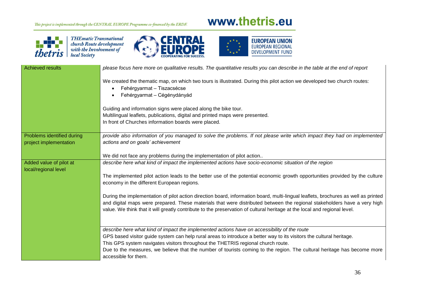# www.thetris.eu



THEmatic Transnational<br>church Route development<br>with the Involvement of<br>local Society





| <b>Achieved results</b>                              | please focus here more on qualitative results. The quantitative results you can describe in the table at the end of report                                                                                                                                                                                                                                                                  |
|------------------------------------------------------|---------------------------------------------------------------------------------------------------------------------------------------------------------------------------------------------------------------------------------------------------------------------------------------------------------------------------------------------------------------------------------------------|
|                                                      | We created the thematic map, on which two tours is illustrated. During this pilot action we developed two church routes:<br>Fehérgyarmat - Tiszacsécse<br>Fehérgyarmat - Cégénydányád                                                                                                                                                                                                       |
|                                                      | Guiding and information signs were placed along the bike tour.<br>Multilingual leaflets, publications, digital and printed maps were presented.<br>In front of Churches information boards were placed.                                                                                                                                                                                     |
| Problems identified during<br>project implementation | provide also information of you managed to solve the problems. If not please write which impact they had on implemented<br>actions and on goals' achievement                                                                                                                                                                                                                                |
|                                                      | We did not face any problems during the implementation of pilot action                                                                                                                                                                                                                                                                                                                      |
| Added value of pilot at<br>local/regional level      | describe here what kind of impact the implemented actions have socio-economic situation of the region                                                                                                                                                                                                                                                                                       |
|                                                      | The implemented pilot action leads to the better use of the potential economic growth opportunities provided by the culture<br>economy in the different European regions.                                                                                                                                                                                                                   |
|                                                      | During the implementation of pilot action direction board, information board, multi-lingual leaflets, brochures as well as printed<br>and digital maps were prepared. These materials that were distributed between the regional stakeholders have a very high<br>value. We think that it will greatly contribute to the preservation of cultural heritage at the local and regional level. |
|                                                      | describe here what kind of impact the implemented actions have on accessibility of the route                                                                                                                                                                                                                                                                                                |
|                                                      | GPS based visitor guide system can help rural areas to introduce a better way to its visitors the cultural heritage.<br>This GPS system navigates visitors throughout the THETRIS regional church route.                                                                                                                                                                                    |
|                                                      | Due to the measures, we believe that the number of tourists coming to the region. The cultural heritage has become more<br>accessible for them.                                                                                                                                                                                                                                             |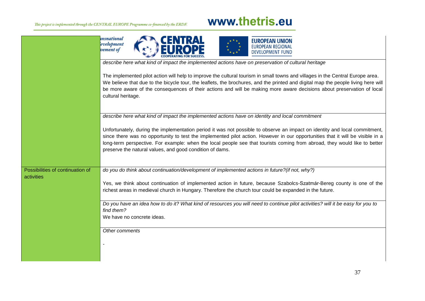|                                  | <i><b>unsnational</b></i><br><b>EUROPEAN UNION</b><br>evelopment<br><b>EUROPEAN REGIONAL</b>                                                                                                                                                                                                                                                                                                                                                          |
|----------------------------------|-------------------------------------------------------------------------------------------------------------------------------------------------------------------------------------------------------------------------------------------------------------------------------------------------------------------------------------------------------------------------------------------------------------------------------------------------------|
|                                  | vement of<br><b>DEVELOPMENT FUND</b>                                                                                                                                                                                                                                                                                                                                                                                                                  |
|                                  | describe here what kind of impact the implemented actions have on preservation of cultural heritage                                                                                                                                                                                                                                                                                                                                                   |
|                                  | The implemented pilot action will help to improve the cultural tourism in small towns and villages in the Central Europe area.<br>We believe that due to the bicycle tour, the leaflets, the brochures, and the printed and digital map the people living here will<br>be more aware of the consequences of their actions and will be making more aware decisions about preservation of local<br>cultural heritage.                                   |
|                                  | describe here what kind of impact the implemented actions have on identity and local commitment                                                                                                                                                                                                                                                                                                                                                       |
|                                  | Unfortunately, during the implementation period it was not possible to observe an impact on identity and local commitment,<br>since there was no opportunity to test the implemented pilot action. However in our opportunities that it will be visible in a<br>long-term perspective. For example: when the local people see that tourists coming from abroad, they would like to better<br>preserve the natural values, and good condition of dams. |
| Possibilities of continuation of | do you do think about continuation/development of implemented actions in future?(if not, why?)                                                                                                                                                                                                                                                                                                                                                        |
| activities                       | Yes, we think about continuation of implemented action in future, because Szabolcs-Szatmár-Bereg county is one of the<br>richest areas in medieval church in Hungary. Therefore the church tour could be expanded in the future.                                                                                                                                                                                                                      |
|                                  | Do you have an idea how to do it? What kind of resources you will need to continue pilot activities? will it be easy for you to<br>find them?                                                                                                                                                                                                                                                                                                         |
|                                  | We have no concrete ideas.                                                                                                                                                                                                                                                                                                                                                                                                                            |
|                                  | Other comments                                                                                                                                                                                                                                                                                                                                                                                                                                        |
|                                  |                                                                                                                                                                                                                                                                                                                                                                                                                                                       |
|                                  |                                                                                                                                                                                                                                                                                                                                                                                                                                                       |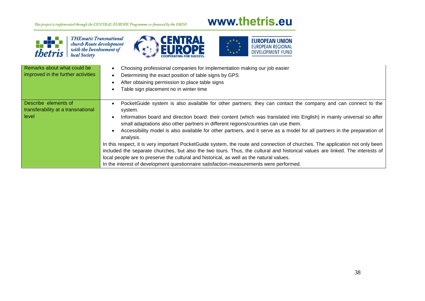# www.thetris.eu

 $\star$ 



THEmatic Transnational<br>church Route development<br>with the Involvement of<br>local Society





| Remarks about what could be<br>improved in the further activities   | Choosing professional companies for implementation making our job easier<br>Determining the exact position of table signs by GPS<br>After obtaining permission to place table signs<br>Table sign placement no in winter time                                                                                                                                                                                                                                                                                                                                                                                                                                                                                                                                                                                                                                                                                                           |
|---------------------------------------------------------------------|-----------------------------------------------------------------------------------------------------------------------------------------------------------------------------------------------------------------------------------------------------------------------------------------------------------------------------------------------------------------------------------------------------------------------------------------------------------------------------------------------------------------------------------------------------------------------------------------------------------------------------------------------------------------------------------------------------------------------------------------------------------------------------------------------------------------------------------------------------------------------------------------------------------------------------------------|
| Describe elements of<br>transferability at a transnational<br>level | PocketGuide system is also available for other partners; they can contact the company and can connect to the<br>system.<br>Information board and direction board: their content (which was translated into English) in mainly universal so after<br>small adaptations also other partners in different regions/countries can use them.<br>Accessibility model is also available for other partners, and it serve as a model for all partners in the preparation of<br>analysis.<br>In this respect, it is very important PocketGuide system, the route and connection of churches. The application not only been<br>included the separate churches, but also the two tours. Thus, the cultural and historical values are linked. The interests of<br>local people are to preserve the cultural and historical, as well as the natural values.<br>In the interest of development questionnaire satisfaction-measurements were performed. |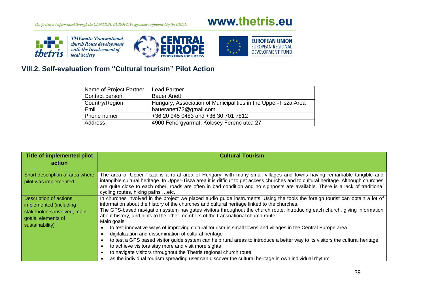s. S.

thetris

# www.thetris.eu



## **VIII.2. Self-evaluation from "Cultural tourism" Pilot Action**

| Name of Project Partner | <b>Lead Partner</b>                                            |
|-------------------------|----------------------------------------------------------------|
| Contact person          | <b>Bauer Anett</b>                                             |
| Country/Region          | Hungary, Association of Municipalities in the Upper-Tisza Area |
| Emil                    | baueranett72@gmail.com                                         |
| Phone numer             | +36 20 945 0483 and +36 30 701 7812                            |
| Address                 | 4900 Fehérgyarmat, Kölcsey Ferenc utca 27                      |

| Title of implemented pilot                                                                                               | <b>Cultural Tourism</b>                                                                                                                                                                                                                                                                                                                                                                                                                                                                                                                                                         |
|--------------------------------------------------------------------------------------------------------------------------|---------------------------------------------------------------------------------------------------------------------------------------------------------------------------------------------------------------------------------------------------------------------------------------------------------------------------------------------------------------------------------------------------------------------------------------------------------------------------------------------------------------------------------------------------------------------------------|
| action                                                                                                                   |                                                                                                                                                                                                                                                                                                                                                                                                                                                                                                                                                                                 |
| Short description of area where<br>pilot was implemented                                                                 | The area of Upper-Tisza is a rural area of Hungary, with many small villages and towns having remarkable tangible and<br>intangible cultural heritage. In Upper-Tisza area it is difficult to get access churches and to cultural heritage. Although churches<br>are quite close to each other, roads are often in bad condition and no signposts are available. There is a lack of traditional<br>cycling routes, hiking paths  etc.                                                                                                                                           |
| Description of actions<br>implemented (including<br>stakeholders involved, main<br>goals, elements of<br>sustainability) | In churches involved in the project we placed audio guide instruments. Using the tools the foreign tourist can obtain a lot of<br>information about the history of the churches and cultural heritage linked to the churches.<br>The GPS-based navigation system navigates visitors throughout the church route, introducing each church, giving information<br>about history, and hints to the other members of the transnational church route.<br>Main goals:<br>to test innovative ways of improving cultural tourism in small towns and villages in the Central Europe area |
|                                                                                                                          | digitalization and dissemination of cultural heritage<br>to test a GPS based visitor guide system can help rural areas to introduce a better way to its visitors the cultural heritage<br>to achieve visitors stay more and visit more sights<br>to navigate visitors throughout the Thetris regional church route<br>as the individual tourism spreading user can discover the cultural heritage in own individual rhythm                                                                                                                                                      |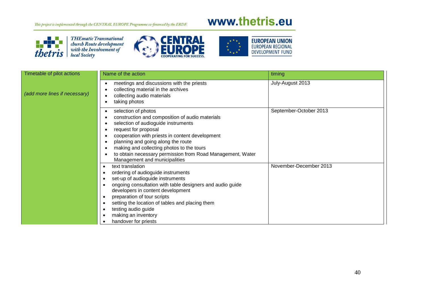# www.thetris.eu



**THEmatic Transnational** *church Route development*<br>with the Involvement of<br>local Society





| Timetable of pilot actions    | Name of the action                                                                                                                                                                                                                                                                                                                                                                                                                                                        | timing                 |
|-------------------------------|---------------------------------------------------------------------------------------------------------------------------------------------------------------------------------------------------------------------------------------------------------------------------------------------------------------------------------------------------------------------------------------------------------------------------------------------------------------------------|------------------------|
| (add more lines if necessary) | meetings and discussions with the priests<br>collecting material in the archives<br>collecting audio materials<br>taking photos                                                                                                                                                                                                                                                                                                                                           | July-August 2013       |
|                               | selection of photos<br>construction and composition of audio materials<br>selection of audioguide instruments<br>request for proposal<br>cooperation with priests in content development<br>planning and going along the route<br>making and collecting photos to the tours<br>to obtain necessary permission from Road Management, Water<br>Management and municipalities                                                                                                | September-October 2013 |
|                               | text translation<br>$\bullet$<br>ordering of audioguide instruments<br>$\bullet$<br>set-up of audioguide instruments<br>$\bullet$<br>ongoing consultation with table designers and audio guide<br>$\bullet$<br>developers in content development<br>preparation of tour scripts<br>$\bullet$<br>setting the location of tables and placing them<br>$\bullet$<br>testing audio guide<br>$\bullet$<br>making an inventory<br>$\bullet$<br>handover for priests<br>$\bullet$ | November-December 2013 |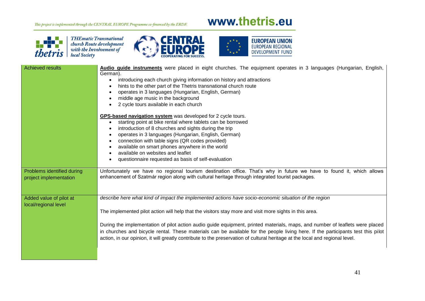# www.thetris.eu

 $\star$ 



**THEmatic Transnational** *church Route development*<br>with the Involvement of<br>local Society





| <b>Achieved results</b>                              | Audio guide instruments were placed in eight churches. The equipment operates in 3 languages (Hungarian, English,<br>German).<br>introducing each church giving information on history and attractions<br>hints to the other part of the Thetris transnational church route<br>operates in 3 languages (Hungarian, English, German)<br>middle age music in the background<br>2 cycle tours available in each church<br>GPS-based navigation system was developed for 2 cycle tours.<br>starting point at bike rental where tablets can be borrowed<br>$\bullet$<br>introduction of 8 churches and sights during the trip<br>operates in 3 languages (Hungarian, English, German)<br>connection with table signs (QR codes provided)<br>available on smart phones anywhere in the world<br>available on websites and leaflet<br>questionnaire requested as basis of self-evaluation |
|------------------------------------------------------|------------------------------------------------------------------------------------------------------------------------------------------------------------------------------------------------------------------------------------------------------------------------------------------------------------------------------------------------------------------------------------------------------------------------------------------------------------------------------------------------------------------------------------------------------------------------------------------------------------------------------------------------------------------------------------------------------------------------------------------------------------------------------------------------------------------------------------------------------------------------------------|
| Problems identified during<br>project implementation | Unfortunately we have no regional tourism destination office. That's why in future we have to found it, which allows<br>enhancement of Szatmár region along with cultural heritage through integrated tourist packages.                                                                                                                                                                                                                                                                                                                                                                                                                                                                                                                                                                                                                                                            |
| Added value of pilot at<br>local/regional level      | describe here what kind of impact the implemented actions have socio-economic situation of the region<br>The implemented pilot action will help that the visitors stay more and visit more sights in this area.<br>During the implementation of pilot action audio guide equipment, printed materials, maps, and number of leaflets were placed<br>in churches and bicycle rental. These materials can be available for the people living here. If the participants test this pilot<br>action, in our opinion, it will greatly contribute to the preservation of cultural heritage at the local and regional level.                                                                                                                                                                                                                                                                |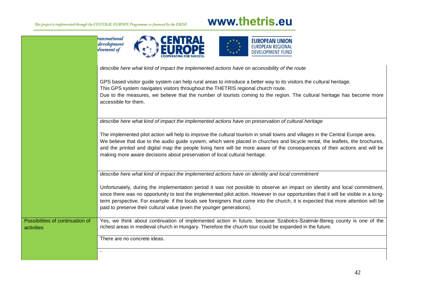|                                                | ransnational<br><b>EUROPEAN UNION</b><br>development<br><b>EUROPEAN REGIONAL</b><br><i>dvement</i> of<br><b>DEVELOPMENT FUND</b>                                                                                                                                                                                                                                                                                                                                                 |  |  |
|------------------------------------------------|----------------------------------------------------------------------------------------------------------------------------------------------------------------------------------------------------------------------------------------------------------------------------------------------------------------------------------------------------------------------------------------------------------------------------------------------------------------------------------|--|--|
|                                                | describe here what kind of impact the implemented actions have on accessibility of the route                                                                                                                                                                                                                                                                                                                                                                                     |  |  |
|                                                | GPS based visitor guide system can help rural areas to introduce a better way to its visitors the cultural heritage.<br>This GPS system navigates visitors throughout the THETRIS regional church route.<br>Due to the measures, we believe that the number of tourists coming to the region. The cultural heritage has become more<br>accessible for them.                                                                                                                      |  |  |
|                                                | describe here what kind of impact the implemented actions have on preservation of cultural heritage                                                                                                                                                                                                                                                                                                                                                                              |  |  |
|                                                | The implemented pilot action will help to improve the cultural tourism in small towns and villages in the Central Europe area.<br>We believe that due to the audio guide system, which were placed in churches and bicycle rental, the leaflets, the brochures,<br>and the printed and digital map the people living here will be more aware of the consequences of their actions and will be<br>making more aware decisions about preservation of local cultural heritage.      |  |  |
|                                                | describe here what kind of impact the implemented actions have on identity and local commitment                                                                                                                                                                                                                                                                                                                                                                                  |  |  |
|                                                | Unfortunately, during the implementation period it was not possible to observe an impact on identity and local commitment,<br>since there was no opportunity to test the implemented pilot action. However in our opportunities that it will be visible in a long-<br>term perspective. For example: if the locals see foreigners that come into the church, it is expected that more attention will be<br>paid to preserve their cultural value (even the younger generations). |  |  |
| Possibilities of continuation of<br>activities | Yes, we think about continuation of implemented action in future, because Szabolcs-Szatmár-Bereg county is one of the<br>richest areas in medieval church in Hungary. Therefore the chucrh tour could be expanded in the future.                                                                                                                                                                                                                                                 |  |  |
|                                                | There are no concrete ideas.                                                                                                                                                                                                                                                                                                                                                                                                                                                     |  |  |
|                                                |                                                                                                                                                                                                                                                                                                                                                                                                                                                                                  |  |  |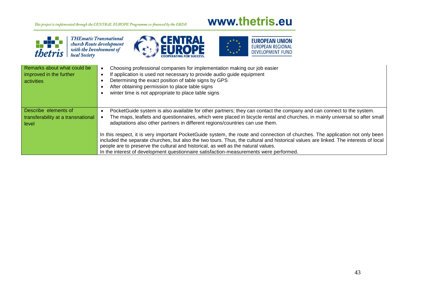# www.thetris.eu



THEmatic Transnational<br>church Route development<br>with the Involvement of<br>local Society





| Remarks about what could be<br>improved in the further<br>activities | Choosing professional companies for implementation making our job easier<br>If application is used not necessary to provide audio guide equipment<br>Determining the exact position of table signs by GPS<br>After obtaining permission to place table signs<br>winter time is not appropriate to place table signs                                                                                                                                  |  |
|----------------------------------------------------------------------|------------------------------------------------------------------------------------------------------------------------------------------------------------------------------------------------------------------------------------------------------------------------------------------------------------------------------------------------------------------------------------------------------------------------------------------------------|--|
| Describe elements of<br>transferability at a transnational<br>level  | PocketGuide system is also available for other partners; they can contact the company and can connect to the system.<br>The maps, leaflets and questionnaires, which were placed in bicycle rental and churches, in mainly universal so after small<br>adaptations also other partners in different regions/countries can use them.                                                                                                                  |  |
|                                                                      | In this respect, it is very important PocketGuide system, the route and connection of churches. The application not only been<br>included the separate churches, but also the two tours. Thus, the cultural and historical values are linked. The interests of local<br>people are to preserve the cultural and historical, as well as the natural values.<br>In the interest of development questionnaire satisfaction-measurements were performed. |  |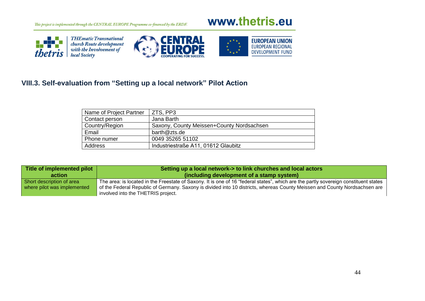## www.thetris.eu







## **VIII.3. Self-evaluation from "Setting up a local network" Pilot Action**

| Name of Project Partner | ZTS, PP3                                  |
|-------------------------|-------------------------------------------|
| Contact person          | Jana Barth                                |
| Country/Region          | Saxony, County Meissen+County Nordsachsen |
| Email                   | barth@zts.de                              |
| Phone numer             | 0049 35265 51102                          |
| Address                 | Industriestraße A11, 01612 Glaubitz       |

| Title of implemented pilot  | Setting up a local network-> to link churches and local actors                                                                                                   |  |
|-----------------------------|------------------------------------------------------------------------------------------------------------------------------------------------------------------|--|
| action                      | (including development of a stamp system)                                                                                                                        |  |
| Short description of area   | The area: is located in the Freestate of Saxony. It is one of 16 "federal states", which are the partly sovereign constituent states                             |  |
| where pilot was implemented | of the Federal Republic of Germany. Saxony is divided into 10 districts, whereas County Meissen and County Nordsachsen are<br>involved into the THETRIS project. |  |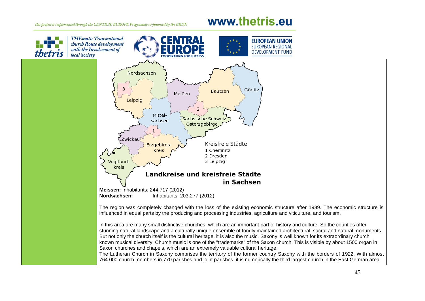## www.thetris.eu

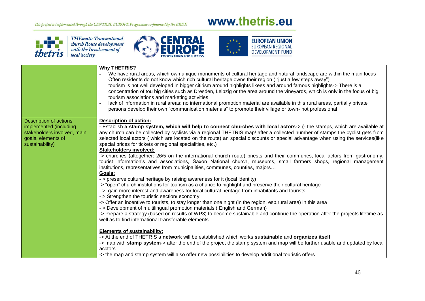## 40 *thetris*

**THEmatic Transnational** church Route development with the Involvement of **local Society** 



## www.thetris.eu



#### **Why THETRIS?** We have rural areas, which own unique monuments of cultural heritage and natural landscape are within the main focus Often residents do not know which rich cultural heritage owns their region ("just a few steps away") - tourism is not well developed in bigger citirism around highlights likees and around famous highlights-> There is a concentration of tou big cities such as Dresden, Leipzig or the area around the vineyards, which is only in the focus of big tourism associations and marketing activities lack of information in rural areas: no international promotion material are available in this rural areas, partially private persons develop their own "communication materials" to promote their village or town- not professional Description of actions implemented (including stakeholders involved, main goals, elements of sustainability) **Description of action:** - Establish **a stamp system, which will help to connect churches with local actors-> (**- the stamps, which are available at any church can be collected by cyclists via a regional THETRIS map/ after a collected number of stamps the cyclist gets from selected local actors ( which are located on the route) an special discounts or special advantage when using the services(like special prices for tickets or regional specialities, etc.) **Stakeholders involved:**  -> churches (altogether: 26/5 on the international church route) priests and their communes, local actors from gastronomy, tourist information's and associations, Saxon National church, museums, small farmers shops, regional management institutions, representatives from municipalities, communes, counties, majors… **Goals:** - > preserve cultural heritage by raising awareness for it (local identity) -> "open" church institutions for tourism as a chance to highlight and preserve their cultural heritage - > gain more interest and awareness for local cultural heritage from inhabitants and tourists - > Strengthen the touristic section/ economy -> Offer an incentive to tourists, to stay longer than one night (in the region, esp.rural area) in this area - > Development of multilingual promotion materials ( English and German) -> Prepare a strategy (based on results of WP3) to become sustainable and continue the operation after the projects lifetime as well as to find international transferable elements **Elements of sustainability:** -> At the end of THETRIS a **network** will be established which works **sustainable** and **organizes itself** -> map with **stamp system**-> after the end of the project the stamp system and map will be further usable and updated by local acctors -> the map and stamp system will also offer new possibilities to develop additional touristic offers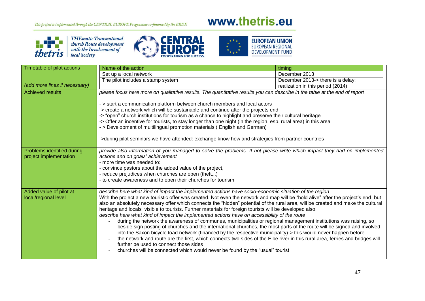# www.thetris.eu



**THEmatic Transnational** *church Route development*<br>with the Involvement of<br>local Society





| Timetable of pilot actions                           | Name of the action                                                                                                                                                                                                                                                                                                                                                                                                                                                                                                                                                                                                                                                                                                                                                                                                                                                                                                                                                                                                                                                                                                                                                                                                     | timing                            |  |
|------------------------------------------------------|------------------------------------------------------------------------------------------------------------------------------------------------------------------------------------------------------------------------------------------------------------------------------------------------------------------------------------------------------------------------------------------------------------------------------------------------------------------------------------------------------------------------------------------------------------------------------------------------------------------------------------------------------------------------------------------------------------------------------------------------------------------------------------------------------------------------------------------------------------------------------------------------------------------------------------------------------------------------------------------------------------------------------------------------------------------------------------------------------------------------------------------------------------------------------------------------------------------------|-----------------------------------|--|
|                                                      | Set up a local network                                                                                                                                                                                                                                                                                                                                                                                                                                                                                                                                                                                                                                                                                                                                                                                                                                                                                                                                                                                                                                                                                                                                                                                                 | December 2013                     |  |
|                                                      | The pilot includes a stamp system                                                                                                                                                                                                                                                                                                                                                                                                                                                                                                                                                                                                                                                                                                                                                                                                                                                                                                                                                                                                                                                                                                                                                                                      | December 2013-> there is a delay: |  |
| (add more lines if necessary)                        |                                                                                                                                                                                                                                                                                                                                                                                                                                                                                                                                                                                                                                                                                                                                                                                                                                                                                                                                                                                                                                                                                                                                                                                                                        | realization in this period (2014) |  |
| <b>Achieved results</b>                              | please focus here more on qualitative results. The quantitative results you can describe in the table at the end of report                                                                                                                                                                                                                                                                                                                                                                                                                                                                                                                                                                                                                                                                                                                                                                                                                                                                                                                                                                                                                                                                                             |                                   |  |
|                                                      | - > start a communication platform between church members and local actors<br>-> create a network which will be sustainable and continue after the projects end<br>-> "open" church institutions for tourism as a chance to highlight and preserve their cultural heritage<br>-> Offer an incentive for tourists, to stay longer than one night (in the region, esp. rural area) in this area<br>- > Development of multilingual promotion materials (English and German)<br>->during pilot seminars we have attended: exchange know how and strategies from partner countries                                                                                                                                                                                                                                                                                                                                                                                                                                                                                                                                                                                                                                         |                                   |  |
|                                                      |                                                                                                                                                                                                                                                                                                                                                                                                                                                                                                                                                                                                                                                                                                                                                                                                                                                                                                                                                                                                                                                                                                                                                                                                                        |                                   |  |
| Problems identified during<br>project implementation | provide also information of you managed to solve the problems. If not please write which impact they had on implemented<br>actions and on goals' achievement<br>- more time was needed to:<br>- convince pastors about the added value of the project,<br>- reduce prejudices when churches are open (theft,)<br>- to create awareness and to open their churches for tourism                                                                                                                                                                                                                                                                                                                                                                                                                                                                                                                                                                                                                                                                                                                                                                                                                                          |                                   |  |
| Added value of pilot at<br>local/regional level      | describe here what kind of impact the implemented actions have socio-economic situation of the region<br>With the project a new touristic offer was created. Not even the network and map will be "hold alive" after the project's end, but<br>also an absolutely necessary offer which connects the "hidden" potential of the rural area, will be created and make the cultural<br>heritage and locals visible to tourists. Further materials for foreign tourists will be developed also.<br>describe here what kind of impact the implemented actions have on accessibility of the route<br>during the network the awareness of communes, municipalities or regional management institutions was raising, so<br>beside sign posting of churches and the international churches, the most parts of the route will be signed and involved<br>into the Saxon bicycle toad network (financed by the respective municipality)-> this would never happen before<br>the network and route are the first, which connects two sides of the Elbe river in this rural area, ferries and bridges will<br>further be used to connect those sides<br>churches will be connected which would never be found by the "usual" tourist |                                   |  |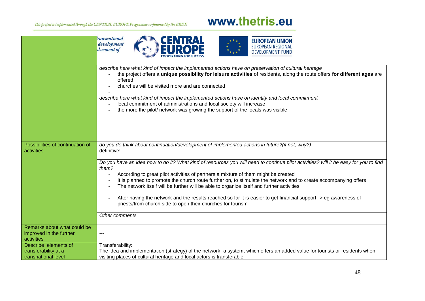|                                                                      | ransnational<br><b>EUROPEAN UNION</b><br>development<br><b>EUROPEAN REGIONAL</b><br>olvement of<br><b>DEVELOPMENT FUND</b>                                                                                                                                                                                                                                                                                                                                                                                                                                                                                                              |  |  |
|----------------------------------------------------------------------|-----------------------------------------------------------------------------------------------------------------------------------------------------------------------------------------------------------------------------------------------------------------------------------------------------------------------------------------------------------------------------------------------------------------------------------------------------------------------------------------------------------------------------------------------------------------------------------------------------------------------------------------|--|--|
|                                                                      | describe here what kind of impact the implemented actions have on preservation of cultural heritage<br>the project offers a unique possibility for leisure activities of residents, along the route offers for different ages are<br>offered<br>churches will be visited more and are connected                                                                                                                                                                                                                                                                                                                                         |  |  |
|                                                                      | describe here what kind of impact the implemented actions have on identity and local commitment<br>local commitment of administrations and local society will increase<br>the more the pilot/ network was growing the support of the locals was visible                                                                                                                                                                                                                                                                                                                                                                                 |  |  |
| Possibilities of continuation of<br>activities                       | do you do think about continuation/development of implemented actions in future?(if not, why?)<br>definitive!                                                                                                                                                                                                                                                                                                                                                                                                                                                                                                                           |  |  |
|                                                                      | Do you have an idea how to do it? What kind of resources you will need to continue pilot activities? will it be easy for you to find<br>them?<br>According to great pilot activities of partners a mixture of them might be created<br>It is planned to promote the church route further on, to stimulate the network and to create accompanying offers<br>The network itself will be further will be able to organize itself and further activities<br>After having the network and the results reached so far it is easier to get financial support -> eg awareness of<br>priests/from church side to open their churches for tourism |  |  |
|                                                                      | Other comments                                                                                                                                                                                                                                                                                                                                                                                                                                                                                                                                                                                                                          |  |  |
| Remarks about what could be<br>improved in the further<br>activities |                                                                                                                                                                                                                                                                                                                                                                                                                                                                                                                                                                                                                                         |  |  |
| Describe elements of<br>transferability at a<br>transnational level  | Transferability:<br>The idea and implementation (strategy) of the network- a system, which offers an added value for tourists or residents when<br>visiting places of cultural heritage and local actors is transferable                                                                                                                                                                                                                                                                                                                                                                                                                |  |  |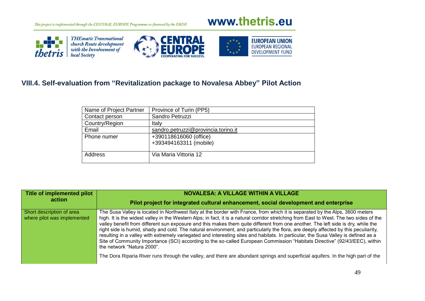# www.thetris.eu







## **VIII.4. Self-evaluation from "Revitalization package to Novalesa Abbey" Pilot Action**

| Name of Project Partner | Province of Turin (PP5)                          |
|-------------------------|--------------------------------------------------|
| Contact person          | Sandro Petruzzi                                  |
| Country/Region          | Italy                                            |
| Email                   | sandro.petruzzi@provincia.torino.it              |
| Phone numer             | +390118616060 (office)<br>+393494163311 (mobile) |
| <b>Address</b>          | Via Maria Vittoria 12                            |

| Title of implemented pilot                               | <b>NOVALESA: A VILLAGE WITHIN A VILLAGE</b>                                                                                                                                                                                                                                                                                                                                                                                                                                                                                                                                                                                                                                                                                                                                                                                                                                                                                                                                             |  |
|----------------------------------------------------------|-----------------------------------------------------------------------------------------------------------------------------------------------------------------------------------------------------------------------------------------------------------------------------------------------------------------------------------------------------------------------------------------------------------------------------------------------------------------------------------------------------------------------------------------------------------------------------------------------------------------------------------------------------------------------------------------------------------------------------------------------------------------------------------------------------------------------------------------------------------------------------------------------------------------------------------------------------------------------------------------|--|
| action                                                   | Pilot project for integrated cultural enhancement, social development and enterprise                                                                                                                                                                                                                                                                                                                                                                                                                                                                                                                                                                                                                                                                                                                                                                                                                                                                                                    |  |
| Short description of area<br>where pilot was implemented | The Susa Valley is located in Northwest Italy at the border with France, from which it is separated by the Alps, 3600 meters<br>high. It is the widest valley in the Western Alps; in fact, it is a natural corridor stretching from East to West. The two sides of the<br>valley benefit from different sun exposure and this makes them quite different from one another. The left side is dry, while the<br>right side is humid, shady and cold. The natural environment, and particularly the flora, are deeply affected by this peculiarity,<br>resulting in a valley with extremely variegated and interesting sites and habitats. In particular, the Susa Valley is defined as a<br>Site of Community Importance (SCI) according to the so-called European Commission "Habitats Directive" (92/43/EEC), within<br>the network "Natura 2000".<br>The Dora Riparia River runs through the valley, and there are abundant springs and superficial aquifers. In the high part of the |  |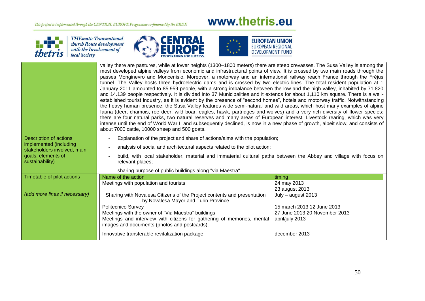**THEmatic Transnational** 

*church Route development*<br>with the Involvement of<br>local Society

a di T

thetris

# www.thetris.eu



|                                                       | valley there are pastures, while at lower heights (1300–1800 meters) there are steep crevasses. The Susa Valley is among the<br>most developed alpine valleys from economic and infrastructural points of view. It is crossed by two main roads through the<br>passes Monginevro and Moncenisio. Moreover, a motorway and an international railway reach France through the Fréjus<br>tunnel. The Valley hosts three hydroelectric dams and is crossed by two electric lines. The total resident population at 1<br>January 2011 amounted to 85.959 people, with a strong imbalance between the low and the high valley, inhabited by 71.820<br>and 14.139 people respectively. It is divided into 37 Municipalities and it extends for about 1,110 km square. There is a well-<br>established tourist industry, as it is evident by the presence of "second homes", hotels and motorway traffic. Notwithstanding<br>the heavy human presence, the Susa Valley features wide semi-natural and wild areas, which host many examples of alpine<br>fauna (deer, chamois, roe deer, wild boar, eagles, hawk, partridges and wolves) and a very rich diversity of flower species:<br>there are four natural parks, two natural reserves and many areas of European interest. Livestock rearing, which was very<br>intense until the end of World War II and subsequently declined, is now in a new phase of growth, albeit slow, and consists of<br>about 7000 cattle, 10000 sheep and 500 goats. |                               |  |
|-------------------------------------------------------|----------------------------------------------------------------------------------------------------------------------------------------------------------------------------------------------------------------------------------------------------------------------------------------------------------------------------------------------------------------------------------------------------------------------------------------------------------------------------------------------------------------------------------------------------------------------------------------------------------------------------------------------------------------------------------------------------------------------------------------------------------------------------------------------------------------------------------------------------------------------------------------------------------------------------------------------------------------------------------------------------------------------------------------------------------------------------------------------------------------------------------------------------------------------------------------------------------------------------------------------------------------------------------------------------------------------------------------------------------------------------------------------------------------------------------------------------------------------------------------------|-------------------------------|--|
| Description of actions                                | Explanation of the project and share of actions/aims with the population;                                                                                                                                                                                                                                                                                                                                                                                                                                                                                                                                                                                                                                                                                                                                                                                                                                                                                                                                                                                                                                                                                                                                                                                                                                                                                                                                                                                                                    |                               |  |
| implemented (including<br>stakeholders involved, main | analysis of social and architectural aspects related to the pilot action;                                                                                                                                                                                                                                                                                                                                                                                                                                                                                                                                                                                                                                                                                                                                                                                                                                                                                                                                                                                                                                                                                                                                                                                                                                                                                                                                                                                                                    |                               |  |
| goals, elements of<br>sustainability)                 | build, with local stakeholder, material and immaterial cultural paths between the Abbey and village with focus on<br>relevant places:                                                                                                                                                                                                                                                                                                                                                                                                                                                                                                                                                                                                                                                                                                                                                                                                                                                                                                                                                                                                                                                                                                                                                                                                                                                                                                                                                        |                               |  |
|                                                       | sharing purpose of public buildings along "via Maestra".                                                                                                                                                                                                                                                                                                                                                                                                                                                                                                                                                                                                                                                                                                                                                                                                                                                                                                                                                                                                                                                                                                                                                                                                                                                                                                                                                                                                                                     |                               |  |
| Timetable of pilot actions                            | Name of the action                                                                                                                                                                                                                                                                                                                                                                                                                                                                                                                                                                                                                                                                                                                                                                                                                                                                                                                                                                                                                                                                                                                                                                                                                                                                                                                                                                                                                                                                           | timing                        |  |
|                                                       | Meetings with population and tourists                                                                                                                                                                                                                                                                                                                                                                                                                                                                                                                                                                                                                                                                                                                                                                                                                                                                                                                                                                                                                                                                                                                                                                                                                                                                                                                                                                                                                                                        | 24 may 2013<br>23 august 2013 |  |
| (add more lines if necessary)                         | Sharing with Novalesa Citizens of the Project contents and presentation<br>by Novalesa Mayor and Turin Province                                                                                                                                                                                                                                                                                                                                                                                                                                                                                                                                                                                                                                                                                                                                                                                                                                                                                                                                                                                                                                                                                                                                                                                                                                                                                                                                                                              | July $-$ august 2013          |  |
|                                                       | <b>Politecnico Survey</b>                                                                                                                                                                                                                                                                                                                                                                                                                                                                                                                                                                                                                                                                                                                                                                                                                                                                                                                                                                                                                                                                                                                                                                                                                                                                                                                                                                                                                                                                    | 15 march 2013 12 June 2013    |  |
|                                                       | Meetings with the owner of "Via Maestra" buildings                                                                                                                                                                                                                                                                                                                                                                                                                                                                                                                                                                                                                                                                                                                                                                                                                                                                                                                                                                                                                                                                                                                                                                                                                                                                                                                                                                                                                                           | 27 June 2013 20 November 2013 |  |
|                                                       | Meetings and interview with citizens for gathering of memories, mental<br>images and documents (photos and postcards).                                                                                                                                                                                                                                                                                                                                                                                                                                                                                                                                                                                                                                                                                                                                                                                                                                                                                                                                                                                                                                                                                                                                                                                                                                                                                                                                                                       | april/july 2013               |  |
|                                                       | Innovative transferable revitalization package                                                                                                                                                                                                                                                                                                                                                                                                                                                                                                                                                                                                                                                                                                                                                                                                                                                                                                                                                                                                                                                                                                                                                                                                                                                                                                                                                                                                                                               | december 2013                 |  |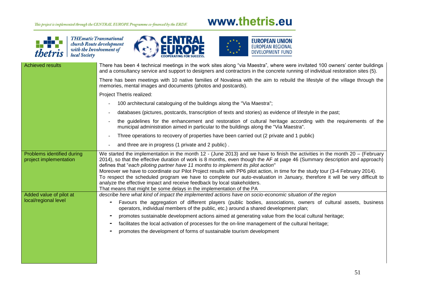# www.thetris.eu



**THEmatic Transnational** *church Route development*<br>with the Involvement of<br>local Society





| <b>Achieved results</b>                              | There has been 4 technical meetings in the work sites along "via Maestra", where were invitated 100 owners' center buildings<br>and a consultancy service and support to designers and contractors in the concrete running of individual restoration sites (5).                                                                                                                                                                                                                                                                                                                                                                                                                                                                                                          |
|------------------------------------------------------|--------------------------------------------------------------------------------------------------------------------------------------------------------------------------------------------------------------------------------------------------------------------------------------------------------------------------------------------------------------------------------------------------------------------------------------------------------------------------------------------------------------------------------------------------------------------------------------------------------------------------------------------------------------------------------------------------------------------------------------------------------------------------|
|                                                      | There has been meetings with 10 native families of Novalesa with the aim to rebuild the lifestyle of the village through the<br>memories, mental images and documents (photos and postcards).                                                                                                                                                                                                                                                                                                                                                                                                                                                                                                                                                                            |
|                                                      | Project Thetris realized:                                                                                                                                                                                                                                                                                                                                                                                                                                                                                                                                                                                                                                                                                                                                                |
|                                                      | 100 architectural cataloguing of the buildings along the "Via Maestra";                                                                                                                                                                                                                                                                                                                                                                                                                                                                                                                                                                                                                                                                                                  |
|                                                      | databases (pictures, postcards, transcription of texts and stories) as evidence of lifestyle in the past;                                                                                                                                                                                                                                                                                                                                                                                                                                                                                                                                                                                                                                                                |
|                                                      | the guidelines for the enhancement and restoration of cultural heritage according with the requirements of the<br>municipal administration aimed in particular to the buildings along the "Via Maestra".                                                                                                                                                                                                                                                                                                                                                                                                                                                                                                                                                                 |
|                                                      | Three operations to recovery of properties have been carried out (2 private and 1 public)                                                                                                                                                                                                                                                                                                                                                                                                                                                                                                                                                                                                                                                                                |
|                                                      | and three are in progress (1 private and 2 public).                                                                                                                                                                                                                                                                                                                                                                                                                                                                                                                                                                                                                                                                                                                      |
| Problems identified during<br>project implementation | We started the implementation in the month 12 - (June 2013) and we have to finish the activities in the month $20 - (Februar)$<br>2014), so that the effective duration of work is 8 months, even though the AF at page 46 (Summary description and approach)<br>defines that "each piloting partner have 11 months to implement its pilot action"<br>Moreover we have to coordinate our Pilot Project results with PP6 pilot action, in time for the study tour (3-4 February 2014).<br>To respect the scheduled program we have to complete our auto-evaluation in January, therefore it will be very difficult to<br>analyze the effective impact and receive feedback by local stakeholders.<br>That means that might be some delays in the implementation of the PA |
| Added value of pilot at                              | describe here what kind of impact the implemented actions have on socio-economic situation of the region                                                                                                                                                                                                                                                                                                                                                                                                                                                                                                                                                                                                                                                                 |
| local/regional level                                 | Favours the aggregation of different players (public bodies, associations, owners of cultural assets, business<br>operators, individual members of the public, etc.) around a shared development plan;                                                                                                                                                                                                                                                                                                                                                                                                                                                                                                                                                                   |
|                                                      | promotes sustainable development actions aimed at generating value from the local cultural heritage;                                                                                                                                                                                                                                                                                                                                                                                                                                                                                                                                                                                                                                                                     |
|                                                      | facilitates the local activation of processes for the on-line management of the cultural heritage;                                                                                                                                                                                                                                                                                                                                                                                                                                                                                                                                                                                                                                                                       |
|                                                      | promotes the development of forms of sustainable tourism development                                                                                                                                                                                                                                                                                                                                                                                                                                                                                                                                                                                                                                                                                                     |
|                                                      |                                                                                                                                                                                                                                                                                                                                                                                                                                                                                                                                                                                                                                                                                                                                                                          |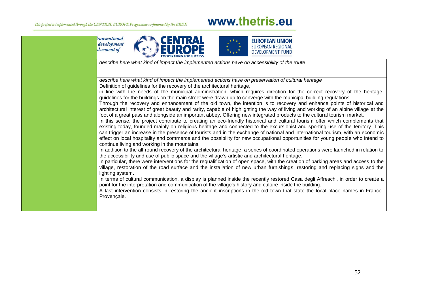**ransnational** development olvement of





*describe here what kind of impact the implemented actions have on accessibility of the route*

*describe here what kind of impact the implemented actions have on preservation of cultural heritage* Definition of guidelines for the recovery of the architectural heritage,

in line with the needs of the municipal administration, which requires direction for the correct recovery of the heritage, guidelines for the buildings on the main street were drawn up to converge with the municipal building regulations.

Through the recovery and enhancement of the old town, the intention is to recovery and enhance points of historical and architectural interest of great beauty and rarity, capable of highlighting the way of living and working of an alpine village at the foot of a great pass and alongside an important abbey. Offering new integrated products to the cultural tourism market.

In this sense, the project contribute to creating an eco-friendly historical and cultural tourism offer which complements that existing today, founded mainly on religious heritage and connected to the excursionist and sporting use of the territory. This can trigger an increase in the presence of tourists and in the exchange of national and international tourism, with an economic effect on local hospitality and commerce and the possibility for new occupational opportunities for young people who intend to continue living and working in the mountains.

In addition to the all-round recovery of the architectural heritage, a series of coordinated operations were launched in relation to the accessibility and use of public space and the village's artistic and architectural heritage.

In particular, there were interventions for the requalification of open space, with the creation of parking areas and access to the village, restoration of the road surface and the installation of new urban furnishings, restoring and replacing signs and the lighting system.

In terms of cultural communication, a display is planned inside the recently restored Casa degli Affreschi, in order to create a point for the interpretation and communication of the village's history and culture inside the building.

A last intervention consists in restoring the ancient inscriptions in the old town that state the local place names in Franco-Provençale.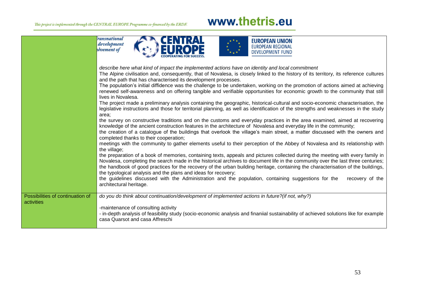|                                  | ransnational<br><b>EUROPEAN UNION</b><br>development                                                                                                                                                                                                                                                                      |  |  |
|----------------------------------|---------------------------------------------------------------------------------------------------------------------------------------------------------------------------------------------------------------------------------------------------------------------------------------------------------------------------|--|--|
|                                  | <b>EUROPEAN REGIONAL</b><br>plvement of                                                                                                                                                                                                                                                                                   |  |  |
|                                  | <b>DEVELOPMENT FUND</b>                                                                                                                                                                                                                                                                                                   |  |  |
|                                  |                                                                                                                                                                                                                                                                                                                           |  |  |
|                                  | describe here what kind of impact the implemented actions have on identity and local commitment                                                                                                                                                                                                                           |  |  |
|                                  | The Alpine civilisation and, consequently, that of Novalesa, is closely linked to the history of its territory, its reference cultures                                                                                                                                                                                    |  |  |
|                                  | and the path that has characterised its development processes.                                                                                                                                                                                                                                                            |  |  |
|                                  | The population's initial diffidence was the challenge to be undertaken, working on the promotion of actions aimed at achieving                                                                                                                                                                                            |  |  |
|                                  | renewed self-awareness and on offering tangible and verifiable opportunities for economic growth to the community that still                                                                                                                                                                                              |  |  |
|                                  | lives in Novalesa.                                                                                                                                                                                                                                                                                                        |  |  |
|                                  | The project made a preliminary analysis containing the geographic, historical-cultural and socio-economic characterisation, the                                                                                                                                                                                           |  |  |
|                                  | legislative instructions and those for territorial planning, as well as identification of the strengths and weaknesses in the study                                                                                                                                                                                       |  |  |
|                                  | area:                                                                                                                                                                                                                                                                                                                     |  |  |
|                                  | the survey on constructive traditions and on the customs and everyday practices in the area examined, aimed at recovering                                                                                                                                                                                                 |  |  |
|                                  | knowledge of the ancient construction features in the architecture of Novalesa and everyday life in the community;                                                                                                                                                                                                        |  |  |
|                                  | the creation of a catalogue of the buildings that overlook the village's main street, a matter discussed with the owners and                                                                                                                                                                                              |  |  |
|                                  | completed thanks to their cooperation;<br>meetings with the community to gather elements useful to their perception of the Abbey of Novalesa and its relationship with<br>the village;<br>the preparation of a book of memories, containing texts, appeals and pictures collected during the meeting with every family in |  |  |
|                                  |                                                                                                                                                                                                                                                                                                                           |  |  |
|                                  |                                                                                                                                                                                                                                                                                                                           |  |  |
|                                  |                                                                                                                                                                                                                                                                                                                           |  |  |
|                                  | Novalesa, completing the search made in the historical archives to document life in the community over the last three centuries;                                                                                                                                                                                          |  |  |
|                                  | the handbook of good practices for the recovery of the urban building heritage, containing the characterisation of the buildings,                                                                                                                                                                                         |  |  |
|                                  | the typological analysis and the plans and ideas for recovery;                                                                                                                                                                                                                                                            |  |  |
|                                  | the guidelines discussed with the Administration and the population, containing suggestions for the<br>recovery of the                                                                                                                                                                                                    |  |  |
|                                  | architectural heritage.                                                                                                                                                                                                                                                                                                   |  |  |
|                                  |                                                                                                                                                                                                                                                                                                                           |  |  |
| Possibilities of continuation of | do you do think about continuation/development of implemented actions in future?(if not, why?)                                                                                                                                                                                                                            |  |  |
| activities                       |                                                                                                                                                                                                                                                                                                                           |  |  |
|                                  | -maintenance of consulting activity                                                                                                                                                                                                                                                                                       |  |  |
|                                  | - in-depth analysis of feasibility study (socio-economic analysis and finaniial sustainability of achieved solutions like for example                                                                                                                                                                                     |  |  |
|                                  | casa Quarsot and casa Affreschi                                                                                                                                                                                                                                                                                           |  |  |
|                                  |                                                                                                                                                                                                                                                                                                                           |  |  |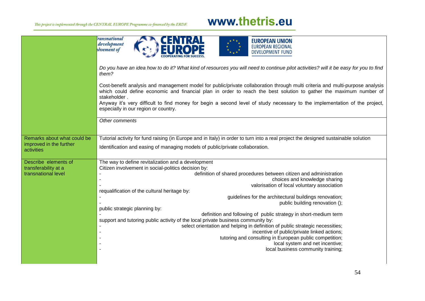|                                                                      | ransnational<br><b>EUROPEAN UNION</b><br>development<br><b>EUROPEAN REGIONAL</b><br>plvement of<br><b>DEVELOPMENT FUND</b>                                                                                                                                                                                                                                                                                                                                                                                                                                      |  |  |  |
|----------------------------------------------------------------------|-----------------------------------------------------------------------------------------------------------------------------------------------------------------------------------------------------------------------------------------------------------------------------------------------------------------------------------------------------------------------------------------------------------------------------------------------------------------------------------------------------------------------------------------------------------------|--|--|--|
|                                                                      | Do you have an idea how to do it? What kind of resources you will need to continue pilot activities? will it be easy for you to find<br>them?                                                                                                                                                                                                                                                                                                                                                                                                                   |  |  |  |
|                                                                      | Cost-benefit analysis and management model for public/private collaboration through multi criteria and multi-purpose analysis<br>which could define economic and financial plan in order to reach the best solution to gather the maximum number of<br>stakeholder.<br>Anyway it's very difficult to find money for begin a second level of study necessary to the implementation of the project,<br>especially in our region or country.                                                                                                                       |  |  |  |
|                                                                      | Other comments                                                                                                                                                                                                                                                                                                                                                                                                                                                                                                                                                  |  |  |  |
| Remarks about what could be<br>improved in the further<br>activities | Tutorial activity for fund raising (in Europe and in Italy) in order to turn into a real project the designed sustainable solution<br>Identification and easing of managing models of public/private collaboration.                                                                                                                                                                                                                                                                                                                                             |  |  |  |
| Describe elements of<br>transferability at a                         | The way to define revitalization and a development<br>Citizen involvement in social-politics decision by:                                                                                                                                                                                                                                                                                                                                                                                                                                                       |  |  |  |
| transnational level                                                  | definition of shared procedures between citizen and administration<br>choices and knowledge sharing<br>valorisation of local voluntary association                                                                                                                                                                                                                                                                                                                                                                                                              |  |  |  |
|                                                                      | requalification of the cultural heritage by:<br>guidelines for the architectural buildings renovation;<br>public building renovation ();<br>public strategic planning by:<br>definition and following of public strategy in short-medium term<br>support and tutoring public activity of the local private business community by:<br>select orientation and helping in definition of public strategic necessities;<br>incentive of public/private linked actions;<br>tutoring and consulting in European public competition;<br>local system and net incentive; |  |  |  |
|                                                                      | local business community training;                                                                                                                                                                                                                                                                                                                                                                                                                                                                                                                              |  |  |  |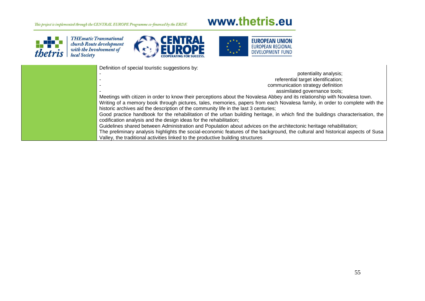

**THEmatic Transnational** *church Route development*<br>with the Involvement of<br>local Society





Definition of special touristic suggestions by:

| potentiality analysis;                                                                                                          |
|---------------------------------------------------------------------------------------------------------------------------------|
| referential target identification;                                                                                              |
| communication strategy definition                                                                                               |
| assimilated governance tools;                                                                                                   |
| Meetings with citizen in order to know their perceptions about the Novalesa Abbey and its relationship with Novalesa town.      |
| Writing of a memory book through pictures, tales, memories, papers from each Novalesa family, in order to complete with the     |
| historic archives aid the description of the community life in the last 3 centuries;                                            |
| Good practice handbook for the rehabilitation of the urban building heritage, in which find the buildings characterisation, the |
| codification analysis and the design ideas for the rehabilitation;                                                              |
| Guidelines shared between Administration and Population about advices on the architectonic heritage rehabilitation;             |
| The preliminary analysis highlights the social-economic features of the background, the cultural and historical aspects of Susa |
| Valley, the traditional activities linked to the productive building structures                                                 |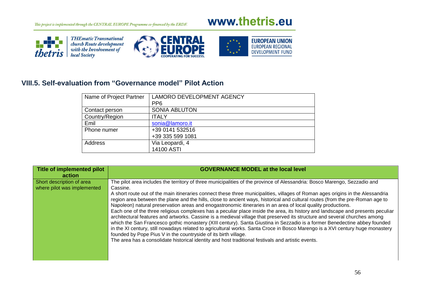# www.thetris.eu







## **VIII.5. Self-evaluation from "Governance model" Pilot Action**

| Name of Project Partner | <b>LAMORO DEVELOPMENT AGENCY</b> |
|-------------------------|----------------------------------|
|                         | PP <sub>6</sub>                  |
| Contact person          | <b>SONIA ABLUTON</b>             |
| Country/Region          | <b>ITALY</b>                     |
| Emil                    | sonia@lamoro.it                  |
| Phone numer             | +39 0141 532516                  |
|                         | +39 335 599 1081                 |
| <b>Address</b>          | Via Leopardi, 4                  |
|                         | 14100 ASTI                       |

| Title of implemented pilot<br>action                     | <b>GOVERNANCE MODEL at the local level</b>                                                                                                                                                                                                                                                                                                                                                                                                                                                                                                                                                                                                                                                                                                                                                                                                                                                                                                                                                                                                                                                                                                                                                                                        |  |  |
|----------------------------------------------------------|-----------------------------------------------------------------------------------------------------------------------------------------------------------------------------------------------------------------------------------------------------------------------------------------------------------------------------------------------------------------------------------------------------------------------------------------------------------------------------------------------------------------------------------------------------------------------------------------------------------------------------------------------------------------------------------------------------------------------------------------------------------------------------------------------------------------------------------------------------------------------------------------------------------------------------------------------------------------------------------------------------------------------------------------------------------------------------------------------------------------------------------------------------------------------------------------------------------------------------------|--|--|
| Short description of area<br>where pilot was implemented | The pilot area includes the territory of three municipalities of the province of Alessandria: Bosco Marengo, Sezzadio and<br>Cassine.<br>A short route out of the main itineraries connect these three municipalities, villages of Roman ages origins in the Alessandria<br>region area between the plane and the hills, close to ancient ways, historical and cultural routes (from the pre-Roman age to<br>Napoleon) natural preservation areas and enogastronomic itineraries in an area of local quality productions.<br>Each one of the three religious complexes has a peculiar place inside the area, its history and landscape and presents peculiar<br>architectural features and artworks. Cassine is a medieval village that preserved its structure and several churches among<br>which the San Francesco gothic monastery (XIII century). Santa Giustina in Sezzadio is a former Benedectine abbey founded<br>in the XI century, still nowadays related to agricultural works. Santa Croce in Bosco Marengo is a XVI century huge monastery<br>founded by Pope Pius V in the countryside of its birth village.<br>The area has a consolidate historical identity and host traditional festivals and artistic events. |  |  |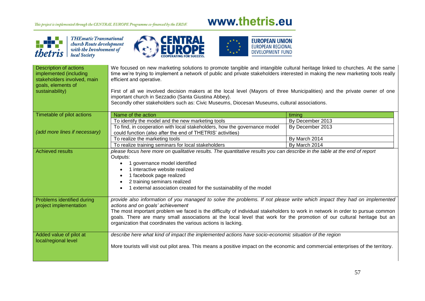## a di S *thetris*

THEmatic Transnational<br>church Route development<br>with the Involvement of<br>local Society







| Description of actions<br>implemented (including<br>stakeholders involved, main<br>goals, elements of<br>sustainability) | We focused on new marketing solutions to promote tangible and intangible cultural heritage linked to churches. At the same<br>time we're trying to implement a network of public and private stakeholders interested in making the new marketing tools really<br>efficient and operative.<br>First of all we involved decision makers at the local level (Mayors of three Municipalities) and the private owner of one<br>important church in Sezzadio (Santa Giustina Abbey).<br>Secondly other stakeholders such as: Civic Museums, Diocesan Museums, cultural associations. |                  |  |
|--------------------------------------------------------------------------------------------------------------------------|--------------------------------------------------------------------------------------------------------------------------------------------------------------------------------------------------------------------------------------------------------------------------------------------------------------------------------------------------------------------------------------------------------------------------------------------------------------------------------------------------------------------------------------------------------------------------------|------------------|--|
| Timetable of pilot actions                                                                                               | Name of the action                                                                                                                                                                                                                                                                                                                                                                                                                                                                                                                                                             | timing           |  |
|                                                                                                                          | To identify the model and the new marketing tools                                                                                                                                                                                                                                                                                                                                                                                                                                                                                                                              | By December 2013 |  |
|                                                                                                                          | To find, in cooperation with local stakeholders, how the governance model                                                                                                                                                                                                                                                                                                                                                                                                                                                                                                      | By December 2013 |  |
| (add more lines if necessary)                                                                                            | could function (also after the end of THETRIS' activities)                                                                                                                                                                                                                                                                                                                                                                                                                                                                                                                     |                  |  |
|                                                                                                                          | To realize the marketing tools                                                                                                                                                                                                                                                                                                                                                                                                                                                                                                                                                 | By March 2014    |  |
|                                                                                                                          | To realize training seminars for local stakeholders                                                                                                                                                                                                                                                                                                                                                                                                                                                                                                                            | By March 2014    |  |
| <b>Achieved results</b>                                                                                                  | please focus here more on qualitative results. The quantitative results you can describe in the table at the end of report<br>Outputs:<br>1 governance model identified<br>1 interactive website realized<br>1 facebook page realized<br>2 training seminars realized<br>1 external association created for the sustainability of the model                                                                                                                                                                                                                                    |                  |  |
| Problems identified during<br>project implementation                                                                     | provide also information of you managed to solve the problems. If not please write which impact they had on implemented<br>actions and on goals' achievement<br>The most important problem we faced is the difficulty of individual stakeholders to work in network in order to pursue common<br>goals. There are many small associations at the local level that work for the promotion of our cultural heritage but an<br>organization that coordinates the various actions is lacking.                                                                                      |                  |  |
| Added value of pilot at<br>local/regional level                                                                          | describe here what kind of impact the implemented actions have socio-economic situation of the region<br>More tourists will visit out pilot area. This means a positive impact on the economic and commercial enterprises of the territory.                                                                                                                                                                                                                                                                                                                                    |                  |  |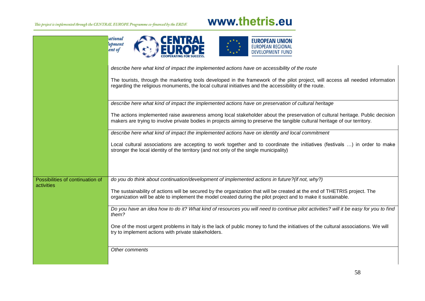|                                                | ational<br><b>EUROPEAN UNION</b><br><b>lopment</b><br><b>EUROPEAN REGIONAL</b><br>ent of<br><b>DEVELOPMENT FUND</b>                                                                                                                                                                                                                                                                                                                                                                                                                                                                                                                                                                           |  |  |
|------------------------------------------------|-----------------------------------------------------------------------------------------------------------------------------------------------------------------------------------------------------------------------------------------------------------------------------------------------------------------------------------------------------------------------------------------------------------------------------------------------------------------------------------------------------------------------------------------------------------------------------------------------------------------------------------------------------------------------------------------------|--|--|
|                                                | describe here what kind of impact the implemented actions have on accessibility of the route                                                                                                                                                                                                                                                                                                                                                                                                                                                                                                                                                                                                  |  |  |
|                                                | The tourists, through the marketing tools developed in the framework of the pilot project, will access all needed information<br>regarding the religious monuments, the local cultural initiatives and the accessibility of the route.                                                                                                                                                                                                                                                                                                                                                                                                                                                        |  |  |
|                                                | describe here what kind of impact the implemented actions have on preservation of cultural heritage<br>The actions implemented raise awareness among local stakeholder about the preservation of cultural heritage. Public decision<br>makers are trying to involve private bodies in projects aiming to preserve the tangible cultural heritage of our territory.<br>describe here what kind of impact the implemented actions have on identity and local commitment<br>Local cultural associations are accepting to work together and to coordinate the initiatives (festivals ) in order to make<br>stronger the local identity of the territory (and not only of the single municipality) |  |  |
|                                                |                                                                                                                                                                                                                                                                                                                                                                                                                                                                                                                                                                                                                                                                                               |  |  |
|                                                |                                                                                                                                                                                                                                                                                                                                                                                                                                                                                                                                                                                                                                                                                               |  |  |
|                                                |                                                                                                                                                                                                                                                                                                                                                                                                                                                                                                                                                                                                                                                                                               |  |  |
|                                                |                                                                                                                                                                                                                                                                                                                                                                                                                                                                                                                                                                                                                                                                                               |  |  |
| Possibilities of continuation of<br>activities | do you do think about continuation/development of implemented actions in future?(if not, why?)                                                                                                                                                                                                                                                                                                                                                                                                                                                                                                                                                                                                |  |  |
|                                                | The sustainability of actions will be secured by the organization that will be created at the end of THETRIS project. The<br>organization will be able to implement the model created during the pilot project and to make it sustainable.                                                                                                                                                                                                                                                                                                                                                                                                                                                    |  |  |
|                                                | Do you have an idea how to do it? What kind of resources you will need to continue pilot activities? will it be easy for you to find<br>them?                                                                                                                                                                                                                                                                                                                                                                                                                                                                                                                                                 |  |  |
|                                                | One of the most urgent problems in Italy is the lack of public money to fund the initiatives of the cultural associations. We will<br>try to implement actions with private stakeholders.                                                                                                                                                                                                                                                                                                                                                                                                                                                                                                     |  |  |
| Other comments                                 |                                                                                                                                                                                                                                                                                                                                                                                                                                                                                                                                                                                                                                                                                               |  |  |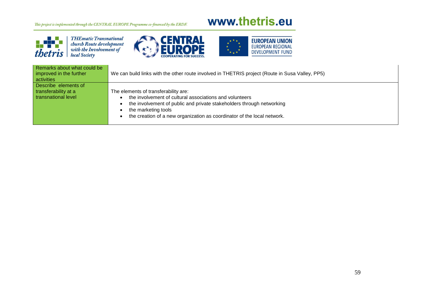

**THEmatic Transnational** *church Route development*<br>with the Involvement of<br>local Society



# www.thetris.eu



| Remarks about what could be<br>improved in the further<br>activities | We can build links with the other route involved in THETRIS project (Route in Susa Valley, PP5)                                                                                                                                                                            |
|----------------------------------------------------------------------|----------------------------------------------------------------------------------------------------------------------------------------------------------------------------------------------------------------------------------------------------------------------------|
| Describe elements of<br>transferability at a<br>transnational level  | The elements of transferability are:<br>the involvement of cultural associations and volunteers<br>the involvement of public and private stakeholders through networking<br>the marketing tools<br>the creation of a new organization as coordinator of the local network. |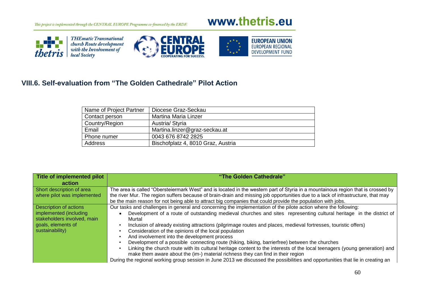## www.thetris.eu







### **VIII.6. Self-evaluation from "The Golden Cathedrale" Pilot Action**

| Name of Project Partner | Diocese Graz-Seckau                |
|-------------------------|------------------------------------|
| Contact person          | <b>Martina Maria Linzer</b>        |
| Country/Region          | Austria/ Styria                    |
| Email                   | Martina.linzer@graz-seckau.at      |
| Phone numer             | 0043 676 8742 2825                 |
| Address                 | Bischofplatz 4, 8010 Graz, Austria |

| Title of implemented pilot<br>action                                                                                     | "The Golden Cathedrale"                                                                                                                                                                                                                                                                                                                                                                                                                                                                                                                                                                                                                                                                                                                                                                                                                                                                                                           |  |  |
|--------------------------------------------------------------------------------------------------------------------------|-----------------------------------------------------------------------------------------------------------------------------------------------------------------------------------------------------------------------------------------------------------------------------------------------------------------------------------------------------------------------------------------------------------------------------------------------------------------------------------------------------------------------------------------------------------------------------------------------------------------------------------------------------------------------------------------------------------------------------------------------------------------------------------------------------------------------------------------------------------------------------------------------------------------------------------|--|--|
| Short description of area<br>where pilot was implemented                                                                 | The area is called "Obersteiermark West" and is located in the western part of Styria in a mountainous region that is crossed by<br>the river Mur. The region suffers because of brain-drain and missing job opportunities due to a lack of infrastructure, that may<br>be the main reason for not being able to attract big companies that could provide the population with jobs.                                                                                                                                                                                                                                                                                                                                                                                                                                                                                                                                               |  |  |
| Description of actions<br>implemented (including<br>stakeholders involved, main<br>goals, elements of<br>sustainability) | Our tasks and challenges in general and concerning the implementation of the pilote action where the following:<br>Development of a route of outstanding medieval churches and sites representing cultural heritage in the district of<br>Murtal<br>Inclusion of already existing attractions (pilgrimage routes and places, medieval fortresses, touristic offers)<br>Consideration of the opinions of the local population<br>And involvement into the development process<br>Development of a possible connecting route (hiking, biking, barrierfree) between the churches<br>Linking the church route with its cultural heritage content to the interests of the local teenagers (young generation) and<br>make them aware about the (im-) material richness they can find in their region<br>During the regional working group session in June 2013 we discussed the possibilities and opportunities that lie in creating an |  |  |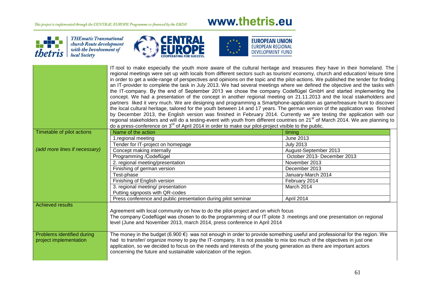THEmatic Transnational<br>church Route development<br>with the Involvement of<br>local Society

a 47

thetris

# www.thetris.eu



|                                                      | IT-tool to make especially the youth more aware of the cultural heritage and treasures they have in their homeland. The<br>regional meetings were set up with locals from different sectors such as tourism/economy, church and education/leisure time<br>in order to get a wide-range of perspectives and opinions on the topic and the pilot-actions. We published the tender for finding<br>an IT-provider to complete the task in July 2013. We had several meetings where we defined the objective and the tasks with<br>the IT-company. By the end of September 2013 we chose the company Codeflügel GmbH and started implementing the<br>concept. We had a presentation of the concept in another regional meeting on 21.11.2013 and the local stakeholders and<br>partners liked it very much. We are designing and programming a Smartphone-application as game/treasure hunt to discover<br>the local cultural heritage, tailored for the youth between 14 and 17 years. The german version of the application was finished<br>by December 2013, the English version was finished in February 2014. Currently we are testing the application with our<br>regional stakeholders and will do a testing-event with youth from different countries on 21 <sup>st</sup> of March 2014. We are planning to |                             |  |
|------------------------------------------------------|----------------------------------------------------------------------------------------------------------------------------------------------------------------------------------------------------------------------------------------------------------------------------------------------------------------------------------------------------------------------------------------------------------------------------------------------------------------------------------------------------------------------------------------------------------------------------------------------------------------------------------------------------------------------------------------------------------------------------------------------------------------------------------------------------------------------------------------------------------------------------------------------------------------------------------------------------------------------------------------------------------------------------------------------------------------------------------------------------------------------------------------------------------------------------------------------------------------------------------------------------------------------------------------------------------------|-----------------------------|--|
|                                                      | do a press-conference on $3^{rd}$ of April 2014 in order to make our pilot-project visible to the public.                                                                                                                                                                                                                                                                                                                                                                                                                                                                                                                                                                                                                                                                                                                                                                                                                                                                                                                                                                                                                                                                                                                                                                                                      |                             |  |
| Timetable of pilot actions                           | Name of the action                                                                                                                                                                                                                                                                                                                                                                                                                                                                                                                                                                                                                                                                                                                                                                                                                                                                                                                                                                                                                                                                                                                                                                                                                                                                                             | timing                      |  |
|                                                      | 1. regional meeting                                                                                                                                                                                                                                                                                                                                                                                                                                                                                                                                                                                                                                                                                                                                                                                                                                                                                                                                                                                                                                                                                                                                                                                                                                                                                            | <b>June 2013</b>            |  |
|                                                      | Tender for IT-project on homepage                                                                                                                                                                                                                                                                                                                                                                                                                                                                                                                                                                                                                                                                                                                                                                                                                                                                                                                                                                                                                                                                                                                                                                                                                                                                              | <b>July 2013</b>            |  |
| (add more lines if necessary)                        | Concept making internally                                                                                                                                                                                                                                                                                                                                                                                                                                                                                                                                                                                                                                                                                                                                                                                                                                                                                                                                                                                                                                                                                                                                                                                                                                                                                      | August-September 2013       |  |
|                                                      | Programming /Codeflügel                                                                                                                                                                                                                                                                                                                                                                                                                                                                                                                                                                                                                                                                                                                                                                                                                                                                                                                                                                                                                                                                                                                                                                                                                                                                                        | October 2013- December 2013 |  |
|                                                      | 2. regional meeting/presentation                                                                                                                                                                                                                                                                                                                                                                                                                                                                                                                                                                                                                                                                                                                                                                                                                                                                                                                                                                                                                                                                                                                                                                                                                                                                               | November 2013               |  |
|                                                      | Finishing of german version                                                                                                                                                                                                                                                                                                                                                                                                                                                                                                                                                                                                                                                                                                                                                                                                                                                                                                                                                                                                                                                                                                                                                                                                                                                                                    | December 2013               |  |
|                                                      | Test-phase                                                                                                                                                                                                                                                                                                                                                                                                                                                                                                                                                                                                                                                                                                                                                                                                                                                                                                                                                                                                                                                                                                                                                                                                                                                                                                     | January-March 2014          |  |
|                                                      | Finishing of English version                                                                                                                                                                                                                                                                                                                                                                                                                                                                                                                                                                                                                                                                                                                                                                                                                                                                                                                                                                                                                                                                                                                                                                                                                                                                                   | February 2014               |  |
|                                                      | 3. regional meeting/ presentation                                                                                                                                                                                                                                                                                                                                                                                                                                                                                                                                                                                                                                                                                                                                                                                                                                                                                                                                                                                                                                                                                                                                                                                                                                                                              | March 2014                  |  |
|                                                      | Putting signposts with QR-codes                                                                                                                                                                                                                                                                                                                                                                                                                                                                                                                                                                                                                                                                                                                                                                                                                                                                                                                                                                                                                                                                                                                                                                                                                                                                                |                             |  |
|                                                      | Press conference and public presentation during pilot seminar                                                                                                                                                                                                                                                                                                                                                                                                                                                                                                                                                                                                                                                                                                                                                                                                                                                                                                                                                                                                                                                                                                                                                                                                                                                  | April 2014                  |  |
| <b>Achieved results</b>                              | Agreement with local community on how to do the pilot-project and on which focus<br>The company Codeflügel was chosen to do the programming of our IT-pilote 3 meetings and one presentation on regional<br>level (June and November 2013, march 2014, press conference in April 2014                                                                                                                                                                                                                                                                                                                                                                                                                                                                                                                                                                                                                                                                                                                                                                                                                                                                                                                                                                                                                          |                             |  |
| Problems identified during<br>project implementation | The money in the budget $(6.900 \epsilon)$ was not enough in order to provide something useful and professional for the region. We<br>had to transfer/ organize money to pay the IT-company. It is not possible to mix too much of the objectives in just one<br>application, so we decided to focus on the needs and interests of the young generation as there are important actors<br>concerning the future and sustainable valorization of the region.                                                                                                                                                                                                                                                                                                                                                                                                                                                                                                                                                                                                                                                                                                                                                                                                                                                     |                             |  |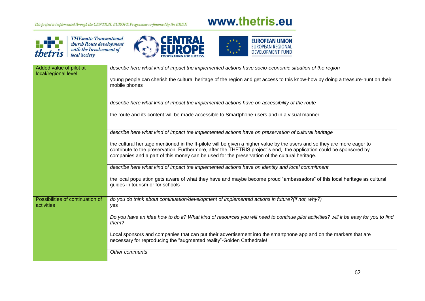# www.thetris.eu



THEmatic Transnational<br>church Route development<br>with the Involvement of<br>local Society





| Added value of pilot at<br>local/regional level | describe here what kind of impact the implemented actions have socio-economic situation of the region                                                                                                                                                                                                                                            |
|-------------------------------------------------|--------------------------------------------------------------------------------------------------------------------------------------------------------------------------------------------------------------------------------------------------------------------------------------------------------------------------------------------------|
|                                                 | young people can cherish the cultural heritage of the region and get access to this know-how by doing a treasure-hunt on their<br>mobile phones                                                                                                                                                                                                  |
|                                                 | describe here what kind of impact the implemented actions have on accessibility of the route                                                                                                                                                                                                                                                     |
|                                                 | the route and its content will be made accessible to Smartphone-users and in a visual manner.                                                                                                                                                                                                                                                    |
|                                                 | describe here what kind of impact the implemented actions have on preservation of cultural heritage                                                                                                                                                                                                                                              |
|                                                 | the cultural heritage mentioned in the It-pilote will be given a higher value by the users and so they are more eager to<br>contribute to the preservation. Furthermore, after the THETRIS project's end, the application could be sponsored by<br>companies and a part of this money can be used for the preservation of the cultural heritage. |
|                                                 | describe here what kind of impact the implemented actions have on identity and local commitment                                                                                                                                                                                                                                                  |
|                                                 | the local population gets aware of what they have and maybe become proud "ambassadors" of this local heritage as cultural<br>guides in tourism or for schools                                                                                                                                                                                    |
| Possibilities of continuation of<br>activities  | do you do think about continuation/development of implemented actions in future?(if not, why?)<br>yes                                                                                                                                                                                                                                            |
|                                                 | Do you have an idea how to do it? What kind of resources you will need to continue pilot activities? will it be easy for you to find<br>them?                                                                                                                                                                                                    |
|                                                 | Local sponsors and companies that can put their advertisement into the smartphone app and on the markers that are<br>necessary for reproducing the "augmented reality"-Golden Cathedrale!                                                                                                                                                        |
|                                                 | Other comments                                                                                                                                                                                                                                                                                                                                   |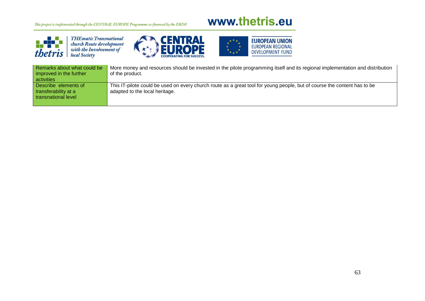# www.thetris.eu



THEmatic Transnational<br>church Route development<br>with the Involvement of<br>local Society





| Remarks about what could be<br>improved in the further              | More money and resources should be invested in the pilote programming itself and its regional implementation and distribution<br>of the product.           |
|---------------------------------------------------------------------|------------------------------------------------------------------------------------------------------------------------------------------------------------|
| activities                                                          |                                                                                                                                                            |
| Describe elements of<br>transferability at a<br>transnational level | This IT-pilote could be used on every church route as a great tool for young people, but of course the content has to be<br>adapted to the local heritage. |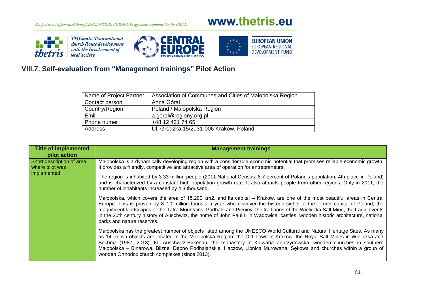a di S

thetris

# www.thetris.eu

64



## **VIII.7. Self-evaluation from "Management trainings" Pilot Action**

| Name of Project Partner | Association of Communes and Cities of Malopolska Region |
|-------------------------|---------------------------------------------------------|
| Contact person          | Anna Góral                                              |
| Country/Region          | Poland / Malopolska Region                              |
| Emil                    | a.goral@regiony.org.pl                                  |
| Phone numer             | +48 12 421 74 65                                        |
| Address                 | UI. Grodzka 15/2, 31-006 Krakow, Poland                 |

| <b>Title of implemented</b><br>pilot action                 | <b>Management trainings</b>                                                                                                                                                                                                                                                                                                                                                                                                                                                                                                                                    |
|-------------------------------------------------------------|----------------------------------------------------------------------------------------------------------------------------------------------------------------------------------------------------------------------------------------------------------------------------------------------------------------------------------------------------------------------------------------------------------------------------------------------------------------------------------------------------------------------------------------------------------------|
| Short description of area<br>where pilot was<br>implemented | Małopolska is a dynamically developing region with a considerable economic potential that promises reliable economic growth.<br>It provides a friendly, competitive and attractive area of operation for entrepreneurs.                                                                                                                                                                                                                                                                                                                                        |
|                                                             | The region is inhabited by 3.33 million people (2011 National Census: 8.7 percent of Poland's population, 4th place in Poland)<br>and is characterized by a constant high population growth rate. It also attracts people from other regions. Only in 2011, the<br>number of inhabitants increased by 4.3 thousand.                                                                                                                                                                                                                                            |
|                                                             | Małopolska, which covers the area of 15,200 km2, and its capital – Krakow, are one of the most beautiful areas in Central<br>Europe. This is proven by 8–10 million tourists a year who discover the historic sights of the former capital of Poland, the<br>magnificent landscapes of the Tatra Mountains, Podhale and Pieniny, the traditions of the Wieliczka Salt Mine, the tragic events<br>in the 20th century history of Auschwitz, the home of John Paul II in Wadowice, castles, wooden historic architecture, national<br>parks and nature reserves. |
|                                                             | Malopolska has the greatest number of objects listed among the UNESCO World Cultural and Natural Heritage Sites. As many<br>as 14 Polish objects are located in the Malopolska Region: the Old Town in Krakow, the Royal Salt Mines in Wieliczka and<br>Bochnia (1987, 2013), KL Auschwitz-Birkenau, the monastery in Kalwaria Zebrzydowska, wooden churches in southern<br>Małopolska – Binarowa, Blizne, Dębno Podhalańskie, Haczów, Lipnica Murowana, Sękowa and churches within a group of<br>wooden Orthodox church complexes (since 2013).               |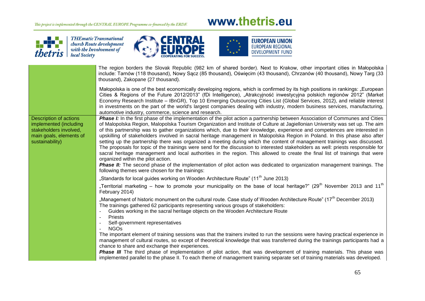a di T

*thetris* 

# www.thetris.eu



|                                                                                                                          | The region borders the Slovak Republic (982 km of shared border). Next to Krakow, other important cities in Małopolska<br>include: Tarnów (118 thousand), Nowy Sącz (85 thousand), Oświęcim (43 thousand), Chrzanów (40 thousand), Nowy Targ (33<br>thousand), Zakopane (27 thousand).                                                                                                                                                                                                                                                                                                                                                                                                                                                                                                                                                                                                                                                                                                                                                                                                                                                                    |
|--------------------------------------------------------------------------------------------------------------------------|-----------------------------------------------------------------------------------------------------------------------------------------------------------------------------------------------------------------------------------------------------------------------------------------------------------------------------------------------------------------------------------------------------------------------------------------------------------------------------------------------------------------------------------------------------------------------------------------------------------------------------------------------------------------------------------------------------------------------------------------------------------------------------------------------------------------------------------------------------------------------------------------------------------------------------------------------------------------------------------------------------------------------------------------------------------------------------------------------------------------------------------------------------------|
|                                                                                                                          | Malopolska is one of the best economically developing regions, which is confirmed by its high positions in rankings: "European<br>Cities & Regions of the Future 2012/2013" (fDi Intelligence), "Atrakcyjność inwestycyjna polskich regionów 2012" (Market<br>Economy Research Institute – IBnGR), Top 10 Emerging Outsourcing Cities List (Global Services, 2012), and reliable interest<br>in investments on the part of the world's largest companies dealing with industry, modern business services, manufacturing,<br>automotive industry, commerce, science and research.                                                                                                                                                                                                                                                                                                                                                                                                                                                                                                                                                                          |
| Description of actions<br>implemented (including<br>stakeholders involved,<br>main goals, elements of<br>sustainability) | Phase I: In the first phase of the implementation of the pilot action a partnership between Association of Communes and Cities<br>of Malopolska Region, Malopolska Tourism Organization and Institute of Culture at Jagiellonian University was set up. The aim<br>of this partnership was to gather organizations which, due to their knowledge, experience and competences are interested in<br>upskilling of stakeholders involved in sacral heritage management in Malopolska Region in Poland. In this phase also after<br>setting up the partnership there was organized a meeting during which the content of management trainings was discussed.<br>The proposals for topic of the trainings were send for the discussion to interested stakeholders as well: priests responsible for<br>sacral heritage management and local authorities in the region. This allowed to create the final list of trainings that were<br>organized within the pilot action.<br><b>Phase II:</b> The second phase of the implementation of pilot action was dedicated to organization management trainings. The<br>following themes were chosen for the trainings: |
|                                                                                                                          | "Standards for local guides working on Wooden Architecture Route" (11 <sup>th</sup> June 2013)                                                                                                                                                                                                                                                                                                                                                                                                                                                                                                                                                                                                                                                                                                                                                                                                                                                                                                                                                                                                                                                            |
|                                                                                                                          | "Territorial marketing – how to promote your municipality on the base of local heritage?" (29 <sup>th</sup> November 2013 and 11 <sup>th</sup><br>February 2014)                                                                                                                                                                                                                                                                                                                                                                                                                                                                                                                                                                                                                                                                                                                                                                                                                                                                                                                                                                                          |
|                                                                                                                          | "Management of historic monument on the cultural route. Case study of Wooden Architecture Route" (17 <sup>th</sup> December 2013)<br>The trainings gathered 62 participants representing various groups of stakeholders:<br>Guides working in the sacral heritage objects on the Wooden Architecture Route<br><b>Priests</b><br>Self-government representatives                                                                                                                                                                                                                                                                                                                                                                                                                                                                                                                                                                                                                                                                                                                                                                                           |
|                                                                                                                          | <b>NGOs</b>                                                                                                                                                                                                                                                                                                                                                                                                                                                                                                                                                                                                                                                                                                                                                                                                                                                                                                                                                                                                                                                                                                                                               |
|                                                                                                                          | The important element of training sessions was that the trainers invited to run the sessions were having practical experience in<br>management of cultural routes, so except of theoretical knowledge that was transferred during the trainings participants had a<br>chance to share and exchange their experiences.                                                                                                                                                                                                                                                                                                                                                                                                                                                                                                                                                                                                                                                                                                                                                                                                                                     |
|                                                                                                                          | <b>Phase III</b> The third phase of implementation of pilot action, that was development of training materials. This phase was<br>implemented parallel to the phase II. To each theme of management training separate set of training materials was developed.                                                                                                                                                                                                                                                                                                                                                                                                                                                                                                                                                                                                                                                                                                                                                                                                                                                                                            |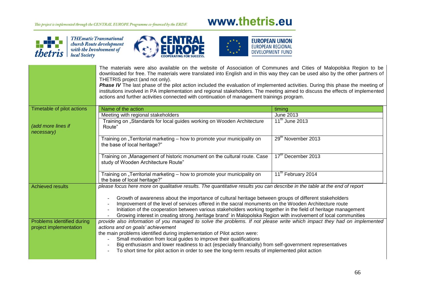## a di <mark>t</mark>e thetris

THEmatic Transnational<br>church Route development<br>with the Involvement of<br>local Society







|                                                      | The materials were also available on the website of Association of Communes and Cities of Malopolska Region to be<br>downloaded for free. The materials were translated into English and in this way they can be used also by the other partners of<br>THETRIS project (and not only).<br>Phase IV The last phase of the pilot action included the evaluation of implemented activities. During this phase the meeting of<br>institutions involved in PA implementation and regional stakeholders. The meeting aimed to discuss the effects of implemented<br>actions and further activities connected with continuation of management trainings program. |                                |
|------------------------------------------------------|-----------------------------------------------------------------------------------------------------------------------------------------------------------------------------------------------------------------------------------------------------------------------------------------------------------------------------------------------------------------------------------------------------------------------------------------------------------------------------------------------------------------------------------------------------------------------------------------------------------------------------------------------------------|--------------------------------|
| Timetable of pilot actions                           | Name of the action                                                                                                                                                                                                                                                                                                                                                                                                                                                                                                                                                                                                                                        | timing                         |
|                                                      | Meeting with regional stakeholders                                                                                                                                                                                                                                                                                                                                                                                                                                                                                                                                                                                                                        | June 2013                      |
| (add more lines if<br>necessary)                     | Training on "Standards for local guides working on Wooden Architecture<br>Route"                                                                                                                                                                                                                                                                                                                                                                                                                                                                                                                                                                          | $11^{th}$ June 2013            |
|                                                      | Training on "Territorial marketing - how to promote your municipality on<br>the base of local heritage?"                                                                                                                                                                                                                                                                                                                                                                                                                                                                                                                                                  | 29 <sup>th</sup> November 2013 |
|                                                      | Training on "Management of historic monument on the cultural route. Case<br>study of Wooden Architecture Route"                                                                                                                                                                                                                                                                                                                                                                                                                                                                                                                                           | 17 <sup>th</sup> December 2013 |
|                                                      | Training on "Territorial marketing - how to promote your municipality on<br>the base of local heritage?"                                                                                                                                                                                                                                                                                                                                                                                                                                                                                                                                                  | 11 <sup>th</sup> February 2014 |
| <b>Achieved results</b>                              | please focus here more on qualitative results. The quantitative results you can describe in the table at the end of report                                                                                                                                                                                                                                                                                                                                                                                                                                                                                                                                |                                |
|                                                      | Growth of awareness about the importance of cultural heritage between groups of different stakeholders<br>Improvement of the level of services offered in the sacral monuments on the Wooden Architecture route<br>Initiation of the cooperation between various stakeholders working together in the field of heritage management<br>Growing interest in creating strong , heritage brand' in Malopolska Region with involvement of local communities                                                                                                                                                                                                    |                                |
| Problems identified during<br>project implementation | provide also information of you managed to solve the problems. If not please write which impact they had on implemented<br>actions and on goals' achievement<br>the main problems identified during implementation of Pilot action were:<br>Small motivation from local guides to improve their qualifications<br>Big enthusiasm and lower readiness to act (especially financially) from self-government representatives<br>To short time for pilot action in order to see the long-term results of implemented pilot action                                                                                                                             |                                |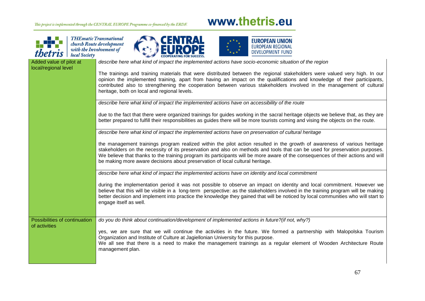

| local Society                                   | <b>THEmatic Transnational</b><br><b>EUROPEAN UNION</b><br>church Route development<br><b>EUROPEAN REGIONAL</b><br>with the Involvement of<br><b>DEVELOPMENT FUND</b>                                                                                                                                                                                                                                                                                                                                                                                                                                                                                                                                                                                                                                                                                                                                                                                                                                                                                                                                                                                                                                                                                                                                                                                                                                                                                                                                                                                                                                                                                                                                                                                                                                                                                                                                                                                                                                                                           |
|-------------------------------------------------|------------------------------------------------------------------------------------------------------------------------------------------------------------------------------------------------------------------------------------------------------------------------------------------------------------------------------------------------------------------------------------------------------------------------------------------------------------------------------------------------------------------------------------------------------------------------------------------------------------------------------------------------------------------------------------------------------------------------------------------------------------------------------------------------------------------------------------------------------------------------------------------------------------------------------------------------------------------------------------------------------------------------------------------------------------------------------------------------------------------------------------------------------------------------------------------------------------------------------------------------------------------------------------------------------------------------------------------------------------------------------------------------------------------------------------------------------------------------------------------------------------------------------------------------------------------------------------------------------------------------------------------------------------------------------------------------------------------------------------------------------------------------------------------------------------------------------------------------------------------------------------------------------------------------------------------------------------------------------------------------------------------------------------------------|
| Added value of pilot at<br>local/regional level | describe here what kind of impact the implemented actions have socio-economic situation of the region<br>The trainings and training materials that were distributed between the regional stakeholders were valued very high. In our<br>opinion the implemented training, apart from having an impact on the qualifications and knowledge of their participants,<br>contributed also to strengthening the cooperation between various stakeholders involved in the management of cultural<br>heritage, both on local and regional levels.<br>describe here what kind of impact the implemented actions have on accessibility of the route<br>due to the fact that there were organized trainings for guides working in the sacral heritage objects we believe that, as they are<br>better prepared to fulfill their responsibilities as guides there will be more tourists coming and vising the objects on the route.<br>describe here what kind of impact the implemented actions have on preservation of cultural heritage<br>the management trainings program realized within the pilot action resulted in the growth of awareness of various heritage<br>stakeholders on the necessity of its preservation and also on methods and tools that can be used for preservation purposes.<br>We believe that thanks to the training program its participants will be more aware of the consequences of their actions and will<br>be making more aware decisions about preservation of local cultural heritage.<br>describe here what kind of impact the implemented actions have on identity and local commitment<br>during the implementation period it was not possible to observe an impact on identity and local commitment. However we<br>believe that this will be visible in a long-term perspective: as the stakeholders involved in the training program will be making<br>better decision and implement into practice the knowledge they gained that will be noticed by local communities who will start to<br>engage itself as well. |
| Possibilities of continuation<br>of activities  | do you do think about continuation/development of implemented actions in future?(if not, why?)<br>yes, we are sure that we will continue the activities in the future. We formed a partnership with Malopolska Tourism<br>Organization and Institute of Culture at Jagiellonian University for this purpose.<br>We all see that there is a need to make the management trainings as a regular element of Wooden Architecture Route<br>management plan.                                                                                                                                                                                                                                                                                                                                                                                                                                                                                                                                                                                                                                                                                                                                                                                                                                                                                                                                                                                                                                                                                                                                                                                                                                                                                                                                                                                                                                                                                                                                                                                         |